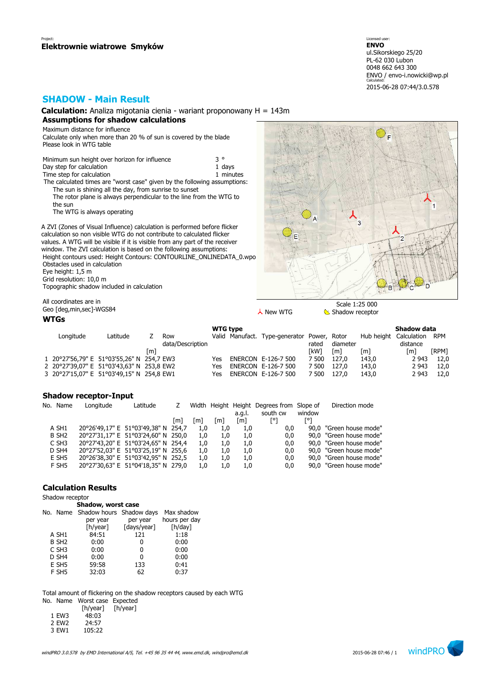Licensed user: **ENVO**  ul.Sikorskiego 25/20 PL-62 030 Lubon 0048 662 643 300 ENVO / envo-i.nowicki@wp.pl Calculated: 2015-06-28 07:44/3.0.578

F

## **SHADOW - Main Result**

**Calculation:** Analiza migotania cienia - wariant proponowany H = 143m **Assumptions for shadow calculations**

Maximum distance for influence Calculate only when more than 20 % of sun is covered by the blade Please look in WTG table

Minimum sun height over horizon for influence  $3^\circ$ <br>Day step for calculation Day step for calculation Time step for calculation 1 minutes The calculated times are "worst case" given by the following assumptions: The sun is shining all the day, from sunrise to sunset The rotor plane is always perpendicular to the line from the WTG to the sun

The WTG is always operating

A ZVI (Zones of Visual Influence) calculation is performed before flicker calculation so non visible WTG do not contribute to calculated flicker values. A WTG will be visible if it is visible from any part of the receiver window. The ZVI calculation is based on the following assumptions: Height contours used: Height Contours: CONTOURLINE\_ONLINEDATA\_0.wpo Obstacles used in c Eye height: 1,5 m Grid resolution: 10

Topographic shado

All coordinates are

Geo [deg,min,sec]

### **WTGs**

| cles used in calculation<br>eight: 1,5 m<br>esolution: 10,0 m | graphic shadow included in calculation | $\frac{1}{2}$           |                 |                                             |       | <b>ALC</b>                        |                                    |            |
|---------------------------------------------------------------|----------------------------------------|-------------------------|-----------------|---------------------------------------------|-------|-----------------------------------|------------------------------------|------------|
| ordinates are in<br>deg,min,sec]-WGS84<br>is.                 |                                        |                         |                 | 人 New WTG                                   |       | Scale 1:25 000<br>Shadow receptor |                                    |            |
|                                                               |                                        |                         | <b>WTG type</b> |                                             |       |                                   | Shadow data                        |            |
| Longitude                                                     | Latitude                               | Row<br>data/Description |                 | Valid Manufact. Type-generator Power, Rotor | rated | diameter                          | Hub height Calculation<br>distance | <b>RPM</b> |

 $\overline{A}$ 

 $\overline{z}$ 

| udta/DCSCIIDUUI |                                                                                                                                     |  |                                                                       |                                                             | uistarice         |            |
|-----------------|-------------------------------------------------------------------------------------------------------------------------------------|--|-----------------------------------------------------------------------|-------------------------------------------------------------|-------------------|------------|
| [m]             |                                                                                                                                     |  | [kW]                                                                  | [m]                                                         | $\lceil m \rceil$ | [RPM]      |
|                 | Yes                                                                                                                                 |  | 7 500                                                                 | 143.0                                                       |                   | 2 943 12,0 |
|                 |                                                                                                                                     |  |                                                                       | 143.0                                                       |                   | 2 943 12,0 |
|                 | Yes                                                                                                                                 |  | 7 500                                                                 | 143.0                                                       |                   | 2 943 12,0 |
|                 | 1 20°27'56,79" E 51°03'55,26" N 254,7 EW3<br>2 20°27'39,07" E 51°03'43,63" N 253,8 EW2<br>3 20°27'15,07" E 51°03'49,15" N 254,8 EW1 |  | ENERCON E-126-7 500<br>Yes ENERCON E-126-7 500<br>ENERCON E-126-7 500 | iaccu<br>uidilictci<br>[m]<br>127.0<br>7 500 127.0<br>127.0 |                   |            |

### **Shadow receptor-Input**

| No. Name          | Longitude | Latitude                            |       |     |     | a.g.l. | Width Height Height Degrees from Slope of<br>south cw | window | Direction mode          |
|-------------------|-----------|-------------------------------------|-------|-----|-----|--------|-------------------------------------------------------|--------|-------------------------|
|                   |           |                                     | l m l | [m] | [m] | [m]    |                                                       | [o     |                         |
| A SH1             |           | 20°26'49,17" E 51°03'49,38" N 254,7 |       | 1.0 | 1.0 | 1.0    | 0,0                                                   |        | 90,0 "Green house mode" |
| B SH <sub>2</sub> |           | 20°27'31,17" E 51°03'24,60" N 250,0 |       | 1.0 | 1.0 | 1.0    | 0,0                                                   |        | 90,0 "Green house mode" |
| C SH <sub>3</sub> |           | 20°27'43,20" E 51°03'24,65" N 254,4 |       | 1.0 | 1.0 | 1.0    | 0,0                                                   |        | 90,0 "Green house mode" |
| D SH <sub>4</sub> |           | 20°27'52,03" E 51°03'25,19" N 255,6 |       | 1.0 | 1.0 | 1.0    | 0,0                                                   |        | 90,0 "Green house mode" |
| E SH <sub>5</sub> |           | 20°26'38,30" E 51°03'42,95" N 252,5 |       | 1.0 | 1.0 | 1.0    | 0,0                                                   |        | 90,0 "Green house mode" |
| F SH5             |           | 20°27'30,63" E 51°04'18,35" N 279,0 |       | 1.0 | 1.0 | 1.0    | 0,0                                                   |        | 90.0 "Green house mode" |
|                   |           |                                     |       |     |     |        |                                                       |        |                         |

### **Calculation Results**

### Shadow receptor

|  | Shadow, worst case                                                |
|--|-------------------------------------------------------------------|
|  | $\mathbf{r}$ , and $\mathbf{r}$ and $\mathbf{r}$ and $\mathbf{r}$ |

|                   | No. Name Shadow hours Shadow days |             | Max shadow    |
|-------------------|-----------------------------------|-------------|---------------|
|                   | per year                          | per year    | hours per day |
|                   | [h/year]                          | [days/year] | [h/day]       |
| A SH1             | 84:51                             | 121         | 1:18          |
| B SH <sub>2</sub> | 0:00                              | 0           | 0:00          |
| C SH <sub>3</sub> | 0:00                              | 0           | 0:00          |
| D SH4             | 0:00                              | 0           | 0:00          |
| E SH5             | 59:58                             | 133         | 0:41          |
| F SH5             | 32:03                             | 62          | 0:37          |
|                   |                                   |             |               |

Total amount of flickering on the shadow receptors caused by each WTG

No. Name Worst case Expected h/year]

|                   | [h/year] | ſł |
|-------------------|----------|----|
| 1 EW3             | 48:03    |    |
| 2 FW <sub>2</sub> | 24:57    |    |

3 EW1 105:22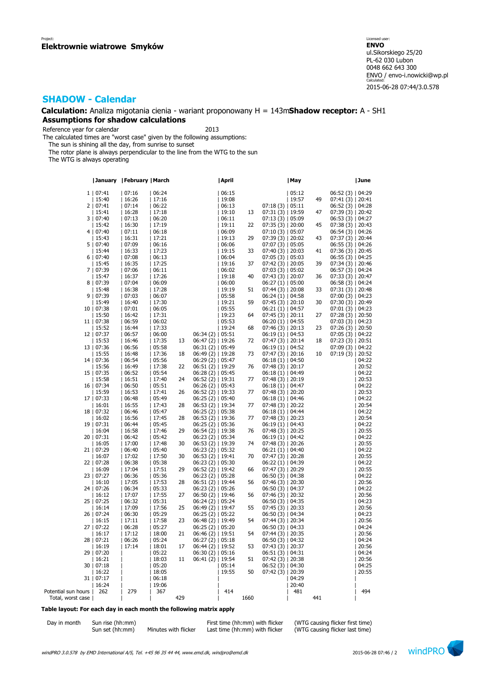### **Calculation:** Analiza migotania cienia - wariant proponowany H = 143m**Shadow receptor:** A - SH1 **Assumptions for shadow calculations**

Reference year for calendar 2013

The calculated times are "worst case" given by the following assumptions:

The sun is shining all the day, from sunrise to sunset

The rotor plane is always perpendicular to the line from the WTG to the sun

The WTG is always operating

|                     | January   February   March |       |       |     |                      | April |      |                    | May   |     |                    | June  |
|---------------------|----------------------------|-------|-------|-----|----------------------|-------|------|--------------------|-------|-----|--------------------|-------|
|                     | 1   07:41                  | 07:16 | 06:24 |     |                      | 06:15 |      |                    | 05:12 |     | 06:52 (3)   04:29  |       |
|                     | 15:40                      | 16:26 | 17:16 |     |                      | 19:08 |      |                    | 19:57 | 49  |                    |       |
|                     |                            |       |       |     |                      |       |      |                    |       |     | 07:41 (3)   20:41  |       |
|                     | 2   07:41                  | 07:14 | 06:22 |     |                      | 06:13 |      | 07:18(3)   05:11   |       |     | 06:52 (3)   04:28  |       |
|                     | 15:41                      | 16:28 | 17:18 |     |                      | 19:10 | 13   | $07:31(3)$   19:59 |       | 47  | 07:39 (3)   20:42  |       |
|                     | 3   07:40                  | 07:13 | 06:20 |     |                      | 06:11 |      | 07:13(3)   05:09   |       |     | 06:53(3)   04:27   |       |
|                     | 15:42                      | 16:30 | 17:19 |     |                      | 19:11 | 22   | $07:35(3)$   20:00 |       | 45  | $07:38(3)$   20:43 |       |
|                     | 4   07:40                  | 07:11 | 06:18 |     |                      | 06:09 |      | $07:10(3)$   05:07 |       |     | 06:54 (3)   04:26  |       |
|                     | 15:43                      | 16:31 | 17:21 |     |                      | 19:13 | 29   | $07:39(3)$   20:02 |       | 43  | 07:37 (3)   20:44  |       |
|                     | 5   07:40                  | 07:09 | 06:16 |     |                      | 06:06 |      | $07:07(3)$   05:05 |       |     | $06:55(3)$   04:26 |       |
|                     | 15:44                      | 16:33 | 17:23 |     |                      |       |      |                    |       |     |                    |       |
|                     |                            |       |       |     |                      | 19:15 | 33   | $07:40(3)$   20:03 |       | 41  | 07:36 (3)   20:45  |       |
|                     | 6   07:40                  | 07:08 | 06:13 |     |                      | 06:04 |      | $07:05(3)$   05:03 |       |     | $06:55(3)$   04:25 |       |
|                     | 15:45                      | 16:35 | 17:25 |     |                      | 19:16 | 37   | $07:42(3)$   20:05 |       | 39  | $07:34(3)$   20:46 |       |
|                     | 7   07:39                  | 07:06 | 06:11 |     |                      | 06:02 |      | $07:03(3)$   05:02 |       |     | 06:57 (3)   04:24  |       |
|                     | 15:47                      | 16:37 | 17:26 |     |                      | 19:18 | 40   | $07:43(3)$   20:07 |       | 36  | $07:33(3)$   20:47 |       |
|                     | 8   07:39                  | 07:04 | 06:09 |     |                      | 06:00 |      | $06:27(1)$   05:00 |       |     | 06:58 (3)   04:24  |       |
|                     | 15:48                      | 16:38 | 17:28 |     |                      | 19:19 | 51   | $07:44(3)$   20:08 |       | 33  | $07:31(3)$   20:48 |       |
|                     | 9   07:39                  | 07:03 | 06:07 |     |                      | 05:58 |      | $06:24(1)$   04:58 |       |     | 07:00 (3)   04:23  |       |
|                     |                            |       |       |     |                      |       |      |                    |       |     |                    |       |
|                     | 15:49                      | 16:40 | 17:30 |     |                      | 19:21 | 59   | $07:45(3)$   20:10 |       | 30  | 07:30 (3)   20:49  |       |
|                     | 10   07:38                 | 07:01 | 06:05 |     |                      | 05:55 |      | $06:21(1)$   04:57 |       |     | 07:01(3)   04:23   |       |
|                     | 15:50                      | 16:42 | 17:31 |     |                      | 19:23 | 64   | $07:45(3)$   20:11 |       | 27  | $07:28(3)$   20:50 |       |
|                     | 11   07:38                 | 06:59 | 06:02 |     |                      | 05:53 |      | $06:20(1)$   04:55 |       |     | 07:03 (3)   04:23  |       |
|                     | 15:52                      | 16:44 | 17:33 |     |                      | 19:24 | 68   | $07:46(3)$   20:13 |       | 23  | $07:26(3)$   20:50 |       |
|                     | 12   07:37                 | 06:57 | 06:00 |     | $06:34(2)$   05:51   |       |      | $06:19(1)$   04:53 |       |     | 07:05 (3)   04:22  |       |
|                     | 15:53                      | 16:46 | 17:35 | 13  | 06:47 (2)   19:26    |       | 72   | $07:47(3)$   20:14 |       | 18  | 07:23 (3)   20:51  |       |
|                     | 13   07:36                 | 06:56 | 05:58 |     | $06:31(2)$   05:49   |       |      | $06:19(1)$   04:52 |       |     | 07:09 (3)   04:22  |       |
|                     |                            |       |       |     |                      |       |      |                    |       |     |                    |       |
|                     | 15:55                      | 16:48 | 17:36 | 18  | $06:49(2)$   19:28   |       | 73   | $07:47(3)$   20:16 |       | 10  | 07:19 (3)   20:52  |       |
|                     | 14   07:36                 | 06:54 | 05:56 |     | $06:29(2)$   05:47   |       |      | $06:18(1)$   04:50 |       |     |                    | 04:22 |
|                     | 15:56                      | 16:49 | 17:38 | 22  | $06:51(2)$   19:29   |       | 76   | $07:48(3)$   20:17 |       |     |                    | 20:52 |
|                     | 15   07:35                 | 06:52 | 05:54 |     | $06:28(2)$   05:45   |       |      | $06:18(1)$   04:49 |       |     |                    | 04:22 |
|                     | 15:58                      | 16:51 | 17:40 | 24  | $06:52(2)$   19:31   |       | 77   | $07:48(3)$   20:19 |       |     |                    | 20:53 |
|                     | 16   07:34                 | 06:50 | 05:51 |     | 06:26(2)   05:43     |       |      | $06:18(1)$   04:47 |       |     |                    | 04:22 |
|                     | 15:59                      | 16:53 | 17:41 | 26  | 06:52 (2)   19:33    |       | 77   | $07:48(3)$   20:20 |       |     |                    | 20:53 |
|                     | 17   07:33                 | 06:48 | 05:49 |     | $06:25(2)$   05:40   |       |      | $06:18(1)$   04:46 |       |     |                    | 04:22 |
|                     |                            |       |       |     |                      |       |      |                    |       |     |                    |       |
|                     | 16:01                      | 16:55 | 17:43 | 28  | 06:53 (2)   19:34    |       | 77   | $07:48(3)$   20:22 |       |     |                    | 20:54 |
|                     | 18   07:32                 | 06:46 | 05:47 |     | 06:25 (2)   05:38    |       |      | $06:18(1)$   04:44 |       |     |                    | 04:22 |
|                     | 16:02                      | 16:56 | 17:45 | 28  | $06:53(2)$   19:36   |       | 77   | $07:48(3)$   20:23 |       |     |                    | 20:54 |
|                     | 19   07:31                 | 06:44 | 05:45 |     | 06:25 (2)   05:36    |       |      | $06:19(1)$   04:43 |       |     |                    | 04:22 |
|                     | 16:04                      | 16:58 | 17:46 | 29  | $06:54(2)$   19:38   |       | 76   | $07:48(3)$   20:25 |       |     |                    | 20:55 |
|                     | 20   07:31                 | 06:42 | 05:42 |     | 06:23 (2)   05:34    |       |      | $06:19(1)$   04:42 |       |     |                    | 04:22 |
|                     | 16:05                      | 17:00 | 17:48 | 30  | 06:53 (2)   19:39    |       | 74   | $07:48(3)$   20:26 |       |     |                    | 20:55 |
|                     | 21   07:29                 | 06:40 | 05:40 |     | $06:23(2)$   $05:32$ |       |      | $06:21(1)$   04:40 |       |     |                    | 04:22 |
|                     | 16:07                      | 17:02 | 17:50 | 30  | $06:53(2)$   19:41   |       | 70   | $07:47(3)$   20:28 |       |     |                    | 20:55 |
|                     |                            |       |       |     |                      |       |      |                    |       |     |                    |       |
|                     | 22   07:28                 | 06:38 | 05:38 |     | $06:23(2)$   05:30   |       |      | $06:22(1)$   04:39 |       |     |                    | 04:22 |
|                     | 16:09                      | 17:04 | 17:51 | 29  | 06:52 (2)   19:42    |       | 66   | $07:47(3)$   20:29 |       |     |                    | 20:55 |
|                     | 23   07:27                 | 06:36 | 05:36 |     | $06:23(2)$   05:28   |       |      | $06:50(3)$   04:38 |       |     |                    | 04:22 |
|                     | 16:10                      | 17:05 | 17:53 | 28  | $06:51(2)$   19:44   |       | 56   | $07:46(3)$   20:30 |       |     |                    | 20:56 |
|                     | 24   07:26                 | 06:34 | 05:33 |     | $06:23(2)$   05:26   |       |      | $06:50(3)$   04:37 |       |     |                    | 04:22 |
|                     | 16:12                      | 17:07 | 17:55 | 27  | $06:50(2)$   19:46   |       | 56   | $07:46(3)$   20:32 |       |     |                    | 20:56 |
|                     | 25   07:25                 | 06:32 | 05:31 |     | $06:24(2)$   05:24   |       |      | $06:50(3)$   04:35 |       |     |                    | 04:23 |
|                     | 16:14                      | 17:09 | 17:56 | 25  | $06:49(2)$   19:47   |       | 55   | $07:45(3)$   20:33 |       |     |                    | 20:56 |
|                     | 26   07:24                 | 06:30 | 05:29 |     |                      |       |      |                    |       |     |                    | 04:23 |
|                     |                            |       |       |     | $06:25(2)$   05:22   |       |      | $06:50(3)$   04:34 |       |     |                    |       |
|                     | 16:15                      | 17:11 | 17:58 | 23  | $06:48(2)$   19:49   |       | 54   | $07:44(3)$   20:34 |       |     |                    | 20:56 |
|                     | 27   07:22                 | 06:28 | 05:27 |     | $06:25(2)$   05:20   |       |      | $06:50(3)$   04:33 |       |     |                    | 04:24 |
|                     | 16:17                      | 17:12 | 18:00 | 21  | $06:46(2)$   19:51   |       | 54   | $07:44(3)$   20:35 |       |     |                    | 20:56 |
|                     | 28   07:21                 | 06:26 | 05:24 |     | $06:27(2)$   05:18   |       |      | 06:50 (3)   04:32  |       |     |                    | 04:24 |
|                     | 16:19                      | 17:14 | 18:01 | 17  | $06:44(2)$   19:52   |       | 53   | $07:43(3)$   20:37 |       |     |                    | 20:56 |
|                     | 29   07:20                 |       | 05:22 |     | 06:30 (2)   05:16    |       |      | 06:51(3)   04:31   |       |     |                    | 04:24 |
|                     | 16:21                      |       | 18:03 | 11  | $06:41(2)$   19:54   |       | 51   | $07:42(3)$   20:38 |       |     |                    | 20:56 |
|                     | 30   07:18                 |       | 05:20 |     |                      | 05:14 |      | $06:52(3)$   04:30 |       |     |                    | 04:25 |
|                     |                            |       |       |     |                      |       |      |                    |       |     |                    |       |
|                     | 16:22                      |       | 18:05 |     |                      | 19:55 | 50   | $07:42(3)$   20:39 |       |     |                    | 20:55 |
|                     | 31   07:17                 |       | 06:18 |     |                      |       |      |                    | 04:29 |     |                    |       |
|                     | 16:24                      |       | 19:06 |     |                      |       |      |                    | 20:40 |     |                    |       |
| Potential sun hours | 262                        | 279   | 367   |     |                      | 414   |      |                    | 481   |     |                    | 494   |
| Total, worst case   |                            |       |       | 429 |                      |       | 1660 |                    |       | 441 |                    |       |

### **Table layout: For each day in each month the following matrix apply**

| Day in month | Sun rise (hh:mm) |                      | First time (hh:mm) with flicker | (WTG causing flicker first time) |
|--------------|------------------|----------------------|---------------------------------|----------------------------------|
|              | Sun set (hh:mm)  | Minutes with flicker | Last time (hh:mm) with flicker  | (WTG causing flicker last time)  |

 $(hh:mm)$  Minutes with flicker Last time  $(hh:mm)$  with flicker

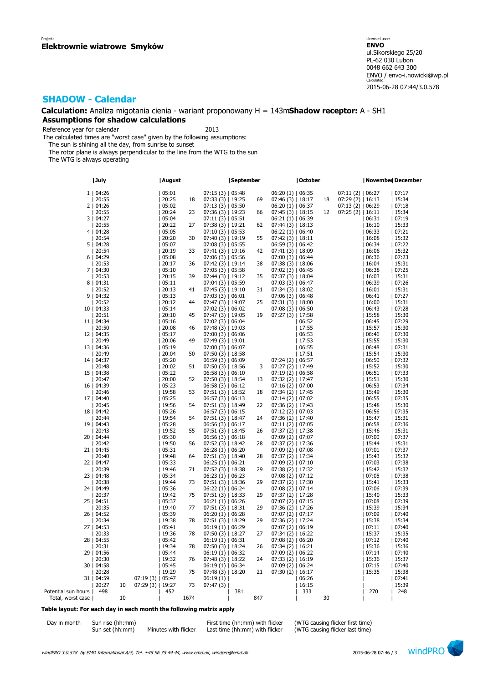### **Calculation:** Analiza migotania cienia - wariant proponowany H = 143m**Shadow receptor:** A - SH1 **Assumptions for shadow calculations**

Reference year for calendar 2013

The calculated times are "worst case" given by the following assumptions:

The sun is shining all the day, from sunrise to sunset

The rotor plane is always perpendicular to the line from the WTG to the sun

The WTG is always operating

|                     | July       |    |                   | August |      |                      | September |     |                    | October |    |                    | November December |        |
|---------------------|------------|----|-------------------|--------|------|----------------------|-----------|-----|--------------------|---------|----|--------------------|-------------------|--------|
|                     | 1   04:26  |    |                   | 105:01 |      | 07:15(3)   05:48     |           |     | $06:20(1)$   06:35 |         |    | $07:11(2)$   06:27 |                   | 107:17 |
|                     | 20:55      |    |                   | 20:25  | 18   | $07:33(3)$   19:25   |           | 69  | $07:46(3)$   18:17 |         | 18 | $07:29(2)$   16:13 |                   | 15:34  |
|                     | 2   04:26  |    |                   | 05:02  |      | $07:13(3)$   05:50   |           |     | $06:20(1)$   06:37 |         |    | 07:13(2)   06:29   |                   | 07:18  |
|                     | 20:55      |    |                   | 20:24  | 23   | $07:36(3)$   19:23   |           | 66  | $07:45(3)$   18:15 |         | 12 | $07:25(2)$   16:11 |                   | 15:34  |
|                     | 3   04:27  |    |                   | 05:04  |      | 07:11(3)   05:51     |           |     | 06:21(1)   06:39   |         |    |                    | 06:31             | 07:19  |
|                     | 20:55      |    |                   | 20:22  | 27   | 07:38 (3)   19:21    |           | 62  | 07:44 (3)   18:13  |         |    |                    | 16:10             | 15:33  |
|                     | 4   04:28  |    |                   | 05:05  |      | $07:10(3)$   05:53   |           |     | $06:22(1)$   06:40 |         |    |                    | 06:33             | 07:21  |
|                     | 20:54      |    |                   | 20:20  | 30   |                      |           | 55  |                    |         |    |                    | 16:08             | 15:32  |
|                     |            |    |                   |        |      | $07:40(3)$   19:19   |           |     | $07:42(3)$   18:11 |         |    |                    |                   |        |
|                     | 5   04:28  |    |                   | 05:07  |      | $07:08(3)$   05:55   |           |     | 06:59(3)   06:42   |         |    |                    | 06:34             | 07:22  |
|                     | 20:54      |    |                   | 20:19  | 33   | $07:41(3)$   19:16   |           | 42  | $07:41(3)$   18:09 |         |    |                    | 16:06             | 15:32  |
|                     | 6   04:29  |    |                   | 05:08  |      | $07:06(3)$   05:56   |           |     | $07:00(3)$   06:44 |         |    |                    | 06:36             | 07:23  |
|                     | 20:53      |    |                   | 20:17  | 36   | $07:42(3)$   19:14   |           | 38  | $07:38(3)$   18:06 |         |    |                    | 16:04             | 15:31  |
|                     | 7   04:30  |    |                   | 05:10  |      | $07:05(3)$   05:58   |           |     | $07:02(3)$   06:45 |         |    |                    | 06:38             | 07:25  |
|                     | 20:53      |    |                   | 20:15  | 39   | 07:44 (3)   19:12    |           | 35  | $07:37(3)$   18:04 |         |    |                    | 16:03             | 15:31  |
|                     | 8   04:31  |    |                   | 05:11  |      | $07:04(3)$   05:59   |           |     | 07:03(3)   06:47   |         |    |                    | 06:39             | 07:26  |
|                     | 20:52      |    |                   | 20:13  | 41   | $07:45(3)$   19:10   |           | 31  | $07:34(3)$   18:02 |         |    |                    | 16:01             | 15:31  |
|                     | 9   04:32  |    |                   | 05:13  |      | 07:03(3)   06:01     |           |     | 07:06(3)   06:48   |         |    |                    | 06:41             | 07:27  |
|                     | 20:52      |    |                   | 20:12  | 44   | $07:47(3)$   19:07   |           | 25  | $07:31(3)$   18:00 |         |    |                    | 16:00             | 15:31  |
|                     | 10   04:33 |    |                   | 05:14  |      | $07:02(3)$   06:02   |           |     | 07:08(3)   06:50   |         |    |                    | 06:43             | 07:28  |
|                     | 20:51      |    |                   | 20:10  | 45   | $07:47(3)$   19:05   |           | 19  | $07:27(3)$   17:58 |         |    |                    | 15:58             | 15:30  |
|                     | 11   04:34 |    |                   | 05:16  |      | 07:02(3)   06:04     |           |     |                    | 06:52   |    |                    | 06:45             | 07:29  |
|                     | 20:50      |    |                   | 20:08  | 46   | $07:48(3)$   19:03   |           |     |                    | 17:55   |    |                    | 15:57             | 15:30  |
|                     | 12   04:35 |    |                   | 05:17  |      | $07:00(3)$   06:06   |           |     |                    | 06:53   |    |                    | 06:46             | 07:30  |
|                     | 20:49      |    |                   | 20:06  | 49   | $07:49(3)$   19:01   |           |     |                    | 17:53   |    |                    | 15:55             | 15:30  |
|                     | 13   04:36 |    |                   | 05:19  |      | $07:00(3)$   06:07   |           |     |                    | 06:55   |    |                    | 06:48             | 07:31  |
|                     | 20:49      |    |                   | 20:04  | 50   | $07:50(3)$   18:58   |           |     |                    | 17:51   |    |                    | 15:54             | 15:30  |
|                     | 14   04:37 |    |                   | 05:20  |      | 06:59(3)   06:09     |           |     | $07:24(2)$   06:57 |         |    |                    | 06:50             | 07:32  |
|                     | 20:48      |    |                   | 20:02  | 51   | $07:50(3)$   18:56   |           | 3   | $07:27(2)$   17:49 |         |    |                    | 15:52             | 15:30  |
|                     | 15   04:38 |    |                   | 05:22  |      | 06:58(3)   06:10     |           |     | $07:19(2)$   06:58 |         |    |                    | 06:51             | 07:33  |
|                     | 20:47      |    |                   | 20:00  | 52   | $07:50(3)$   18:54   |           | 13  | $07:32(2)$   17:47 |         |    |                    | 15:51             | 15:30  |
|                     | 16   04:39 |    |                   | 05:23  |      | 06:58(3)   06:12     |           |     | $07:16(2)$   07:00 |         |    |                    | 06:53             | 07:34  |
|                     | 20:46      |    |                   | 19:58  | 53   | $07:51(3)$   18:52   |           | 18  | $07:34(2)$   17:45 |         |    |                    | 15:49             | 15:30  |
|                     | 17   04:40 |    |                   | 05:25  |      | $06:57(3)$   06:13   |           |     | $07:14(2)$   07:02 |         |    |                    | 06:55             | 07:35  |
|                     | 20:45      |    |                   | 19:56  | 54   | $07:51(3)$   18:49   |           | 22  | $07:36(2)$   17:43 |         |    |                    | 15:48             | 15:30  |
|                     | 18   04:42 |    |                   | 05:26  |      | 06:57(3)   06:15     |           |     | 07:12(2)   07:03   |         |    |                    | 06:56             | 07:35  |
|                     | 20:44      |    |                   | 19:54  | 54   | $07:51(3)$   18:47   |           | 24  | $07:36(2)$   17:40 |         |    |                    | 15:47             | 15:31  |
|                     | 19   04:43 |    |                   | 05:28  |      | 06:56(3)   06:17     |           |     | $07:11(2)$   07:05 |         |    |                    | 06:58             | 07:36  |
|                     | 20:43      |    |                   | 19:52  | 55   | 07:51 (3)   18:45    |           | 26  | $07:37(2)$   17:38 |         |    |                    | 15:46             | 15:31  |
|                     | 20   04:44 |    |                   | 05:30  |      | 06:56(3)   06:18     |           |     | 07:09 (2)   07:07  |         |    |                    | 07:00             | 07:37  |
|                     | 20:42      |    |                   | 19:50  | 56   | $07:52(3)$   18:42   |           | 28  | $07:37(2)$   17:36 |         |    |                    | 15:44             | 15:31  |
|                     | 21   04:45 |    |                   | 05:31  |      | $06:28(1)$   $06:20$ |           |     | $07:09(2)$   07:08 |         |    |                    | 07:01             | 07:37  |
|                     | 20:40      |    |                   | 19:48  | 64   | 07:51 (3)   18:40    |           | 28  | $07:37(2)$   17:34 |         |    |                    | 15:43             | 15:32  |
|                     | 22   04:47 |    |                   | 05:33  |      | 06:25(1)   06:21     |           |     | $07:09(2)$   07:10 |         |    |                    | 07:03             | 07:38  |
|                     | 20:39      |    |                   | 19:46  | 71   | $07:52(3)$   18:38   |           | 29  | $07:38(2)$   17:32 |         |    |                    | 15:42             | 15:32  |
|                     | 23   04:48 |    |                   | 05:34  |      | $06:23(1)$   $06:23$ |           |     | 07:08(2)   07:12   |         |    |                    | 07:05             | 07:38  |
|                     | 20:38      |    |                   | 19:44  | 73   | $07:51(3)$   18:36   |           | 29  | $07:37(2)$   17:30 |         |    |                    | 15:41             | 15:33  |
|                     | 24   04:49 |    |                   | 05:36  |      | 06:22(1)   06:24     |           |     | $07:08(2)$   07:14 |         |    |                    | 07:06             | 07:39  |
|                     | 20:37      |    |                   | 19:42  | 75   | $07:51(3)$   18:33   |           | 29  | $07:37(2)$   17:28 |         |    |                    | 15:40             | 15:33  |
|                     | 25   04:51 |    |                   | 05:37  |      | 06:21(1)   06:26     |           |     | $07:07(2)$   07:15 |         |    |                    | 07:08             | 07:39  |
|                     | 20:35      |    |                   | 19:40  | 77   | 07:51(3)   18:31     |           | 29  | $07:36(2)$   17:26 |         |    |                    | 15:39             | 15:34  |
|                     | 26   04:52 |    |                   | 05:39  |      | $06:20(1)$   06:28   |           |     | $07:07(2)$   07:17 |         |    |                    | 07:09             | 07:40  |
|                     | 20:34      |    |                   | 19:38  | 78   | $07:51(3)$   18:29   |           | 29  | $07:36(2)$   17:24 |         |    |                    | 15:38             | 15:34  |
|                     | 27   04:53 |    |                   | 05:41  |      | $06:19(1)$   $06:29$ |           |     | 07:07 (2)   06:19  |         |    |                    | 07:11             | 07:40  |
|                     | 20:33      |    |                   | 19:36  | 78   | $07:50(3)$   18:27   |           | 27  | $07:34(2)$   16:22 |         |    |                    | 15:37             | 15:35  |
|                     | 28   04:55 |    |                   | 05:42  |      | $06:19(1)$   $06:31$ |           |     | $07:08(2)$   06:20 |         |    |                    | 07:12             | 07:40  |
|                     | 20:31      |    |                   | 19:34  | 78   | $07:50(3)$   18:24   |           | 26  | $07:34(2)$   16:21 |         |    |                    | 15:36             | 15:36  |
|                     | 29   04:56 |    |                   | 05:44  |      | $06:19(1)$   06:32   |           |     | 07:09(2)   06:22   |         |    |                    | 07:14             | 07:40  |
|                     | 20:30      |    |                   | 19:32  | 76   | $07:48(3)$   18:22   |           | 24  | $07:33(2)$   16:19 |         |    |                    | 15:36             | 15:37  |
|                     | 30   04:58 |    |                   | 05:45  |      | $06:19(1)$   06:34   |           |     | $07:09(2)$   06:24 |         |    |                    | 07:15             | 07:40  |
|                     | 20:28      |    |                   | 19:29  | 75   | $07:48(3)$   18:20   |           | 21  | $07:30(2)$   16:17 |         |    |                    | 15:35             | 15:38  |
|                     | 31   04:59 |    | 07:19(3)   05:47  |        |      | 06:19(1)             |           |     |                    | 06:26   |    |                    |                   | 07:41  |
|                     | 20:27      | 10 | 07:29 (3)   19:27 |        | 73   | 07:47(3)             |           |     |                    | 16:15   |    |                    |                   | 15:39  |
| Potential sun hours | 498        |    |                   | 452    |      |                      | 381       |     |                    | 333     |    |                    | 270               | 248    |
| Total, worst case   |            | 10 |                   |        | 1674 |                      |           | 847 |                    |         | 30 |                    |                   |        |

#### **Table layout: For each day in each month the following matrix apply**

| Day in month | Sun rise (hh:mm) |                      | First time (hh:mm) with flicker | (WTG causing flicker first time) |
|--------------|------------------|----------------------|---------------------------------|----------------------------------|
|              | Sun set (hh:mm)  | Minutes with flicker | Last time (hh:mm) with flicker  | (WTG causing flicker last time)  |

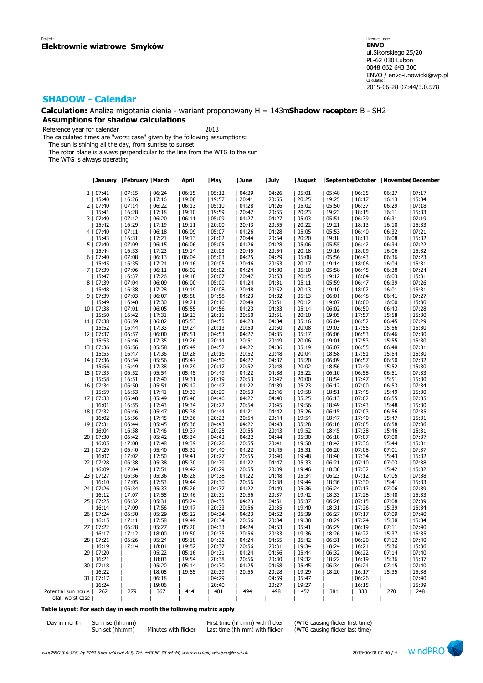**Calculation:** Analiza migotania cienia - wariant proponowany H = 143m**Shadow receptor:** B - SH2 **Assumptions for shadow calculations**

Reference year for calendar 2013

The calculated times are "worst case" given by the following assumptions:

The sun is shining all the day, from sunrise to sunset

The rotor plane is always perpendicular to the line from the WTG to the sun

The WTG is always operating

|                     |            | January   February   March |       | April | May   | June  | July  | August |       |       | SeptemberOctober   November December |       |
|---------------------|------------|----------------------------|-------|-------|-------|-------|-------|--------|-------|-------|--------------------------------------|-------|
|                     | 1   07:41  | 07:15                      | 06:24 | 06:15 | 05:12 | 04:29 | 04:26 | 05:01  | 05:48 | 06:35 | 06:27                                | 07:17 |
|                     | 15:40      | 16:26                      | 17:16 | 19:08 | 19:57 | 20:41 | 20:55 | 20:25  | 19:25 | 18:17 | 16:13                                | 15:34 |
|                     |            |                            |       |       |       |       |       |        |       |       |                                      |       |
|                     | 2   07:40  | 07:14                      | 06:22 | 06:13 | 05:10 | 04:28 | 04:26 | 05:02  | 05:50 | 06:37 | 06:29                                | 07:18 |
|                     | 15:41      | 16:28                      | 17:18 | 19:10 | 19:59 | 20:42 | 20:55 | 20:23  | 19:23 | 18:15 | 16:11                                | 15:33 |
|                     | 3   07:40  | 07:12                      | 06:20 | 06:11 | 05:09 | 04:27 | 04:27 | 05:03  | 05:51 | 06:39 | 06:31                                | 07:19 |
|                     | 15:42      | 16:29                      | 17:19 | 19:11 | 20:00 | 20:43 | 20:55 | 20:22  | 19:21 | 18:13 | 16:10                                | 15:33 |
|                     | 4   07:40  | 07:11                      | 06:18 | 06:09 | 05:07 | 04:26 | 04:28 | 05:05  | 05:53 | 06:40 | 06:32                                | 07:21 |
|                     | 15:43      | 16:31                      | 17:21 | 19:13 | 20:02 | 20:44 | 20:54 | 20:20  | 19:18 | 18:11 | 16:08                                | 15:32 |
| 5 <sub>1</sub>      | 07:40      | 07:09                      | 06:15 | 06:06 | 05:05 | 04:26 | 04:28 | 05:06  | 05:55 | 06:42 | 06:34                                | 07:22 |
|                     | 15:44      | 16:33                      | 17:23 | 19:14 | 20:03 | 20:45 | 20:54 | 20:18  | 19:16 | 18:09 | 16:06                                | 15:32 |
|                     | 6   07:40  | 07:08                      | 06:13 | 06:04 | 05:03 | 04:25 | 04:29 | 05:08  | 05:56 | 06:43 | 06:36                                | 07:23 |
|                     | 15:45      | 16:35                      | 17:24 | 19:16 | 20:05 | 20:46 | 20:53 | 20:17  | 19:14 | 18:06 | 16:04                                | 15:31 |
| 71                  | 07:39      | 07:06                      | 06:11 | 06:02 | 05:02 | 04:24 | 04:30 | 05:10  | 05:58 | 06:45 | 06:38                                | 07:24 |
|                     |            |                            |       |       |       |       |       |        |       |       |                                      |       |
|                     | 15:47      | 16:37                      | 17:26 | 19:18 | 20:07 | 20:47 | 20:53 | 20:15  | 19:12 | 18:04 | 16:03                                | 15:31 |
| 8                   | 07:39      | 07:04                      | 06:09 | 06:00 | 05:00 | 04:24 | 04:31 | 05:11  | 05:59 | 06:47 | 06:39                                | 07:26 |
|                     | 15:48      | 16:38                      | 17:28 | 19:19 | 20:08 | 20:48 | 20:52 | 20:13  | 19:10 | 18:02 | 16:01                                | 15:31 |
| 9                   | 07:39      | 07:03                      | 06:07 | 05:58 | 04:58 | 04:23 | 04:32 | 05:13  | 06:01 | 06:48 | 06:41                                | 07:27 |
|                     | 15:49      | 16:40                      | 17:30 | 19:21 | 20:10 | 20:49 | 20:51 | 20:12  | 19:07 | 18:00 | 16:00                                | 15:30 |
| 10                  | 07:38      | 07:01                      | 06:05 | 05:55 | 04:56 | 04:23 | 04:33 | 05:14  | 06:02 | 06:50 | 06:43                                | 07:28 |
|                     | 15:50      | 16:42                      | 17:31 | 19:23 | 20:11 | 20:50 | 20:51 | 20:10  | 19:05 | 17:57 | 15:58                                | 15:30 |
|                     | 11   07:38 | 06:59                      | 06:02 | 05:53 | 04:55 | 04:23 | 04:34 | 05:16  | 06:04 | 06:52 | 06:45                                | 07:29 |
|                     | 15:52      | 16:44                      | 17:33 | 19:24 | 20:13 | 20:50 | 20:50 | 20:08  | 19:03 | 17:55 | 15:56                                | 15:30 |
|                     | 12   07:37 | 06:57                      | 06:00 | 05:51 | 04:53 | 04:22 | 04:35 | 05:17  | 06:06 | 06:53 | 06:46                                | 07:30 |
|                     |            |                            |       |       |       |       |       |        |       |       |                                      |       |
|                     | 15:53      | 16:46                      | 17:35 | 19:26 | 20:14 | 20:51 | 20:49 | 20:06  | 19:01 | 17:53 | 15:55                                | 15:30 |
|                     | 13   07:36 | 06:56                      | 05:58 | 05:49 | 04:52 | 04:22 | 04:36 | 05:19  | 06:07 | 06:55 | 06:48                                | 07:31 |
|                     | 15:55      | 16:47                      | 17:36 | 19:28 | 20:16 | 20:52 | 20:48 | 20:04  | 18:58 | 17:51 | 15:54                                | 15:30 |
|                     | 14   07:36 | 06:54                      | 05:56 | 05:47 | 04:50 | 04:22 | 04:37 | 05:20  | 06:09 | 06:57 | 06:50                                | 07:32 |
|                     | 15:56      | 16:49                      | 17:38 | 19:29 | 20:17 | 20:52 | 20:48 | 20:02  | 18:56 | 17:49 | 15:52                                | 15:30 |
|                     | 15   07:35 | 06:52                      | 05:54 | 05:45 | 04:49 | 04:22 | 04:38 | 05:22  | 06:10 | 06:58 | 06:51                                | 07:33 |
|                     | 15:58      | 16:51                      | 17:40 | 19:31 | 20:19 | 20:53 | 20:47 | 20:00  | 18:54 | 17:47 | 15:51                                | 15:30 |
| 16                  | 07:34      | 06:50                      | 05:51 | 05:42 | 04:47 | 04:22 | 04:39 | 05:23  | 06:12 | 07:00 | 06:53                                | 07:34 |
|                     | 15:59      | 16:53                      | 17:41 | 19:33 | 20:20 | 20:53 | 20:46 | 19:58  | 18:51 | 17:45 | 15:49                                | 15:30 |
|                     | 17   07:33 | 06:48                      | 05:49 | 05:40 | 04:46 | 04:22 | 04:40 | 05:25  | 06:13 | 07:02 | 06:55                                | 07:35 |
|                     |            |                            |       |       |       |       |       |        |       |       |                                      |       |
|                     | 16:01      | 16:55                      | 17:43 | 19:34 | 20:22 | 20:54 | 20:45 | 19:56  | 18:49 | 17:43 | 15:48                                | 15:30 |
|                     | 18   07:32 | 06:46                      | 05:47 | 05:38 | 04:44 | 04:21 | 04:42 | 05:26  | 06:15 | 07:03 | 06:56                                | 07:35 |
|                     | 16:02      | 16:56                      | 17:45 | 19:36 | 20:23 | 20:54 | 20:44 | 19:54  | 18:47 | 17:40 | 15:47                                | 15:31 |
| 19                  | 07:31      | 06:44                      | 05:45 | 05:36 | 04:43 | 04:22 | 04:43 | 05:28  | 06:16 | 07:05 | 06:58                                | 07:36 |
|                     | 16:04      | 16:58                      | 17:46 | 19:37 | 20:25 | 20:55 | 20:43 | 19:52  | 18:45 | 17:38 | 15:46                                | 15:31 |
| 20                  | 07:30      | 06:42                      | 05:42 | 05:34 | 04:42 | 04:22 | 04:44 | 05:30  | 06:18 | 07:07 | 07:00                                | 07:37 |
|                     | 16:05      | 17:00                      | 17:48 | 19:39 | 20:26 | 20:55 | 20:41 | 19:50  | 18:42 | 17:36 | 15:44                                | 15:31 |
|                     | 21   07:29 | 06:40                      | 05:40 | 05:32 | 04:40 | 04:22 | 04:45 | 05:31  | 06:20 | 07:08 | 07:01                                | 07:37 |
|                     | 16:07      | 17:02                      | 17:50 | 19:41 | 20:27 | 20:55 | 20:40 | 19:48  | 18:40 | 17:34 | 15:43                                | 15:32 |
|                     | 22   07:28 | 06:38                      | 05:38 | 05:30 | 04:39 | 04:22 | 04:47 | 05:33  | 06:21 | 07:10 | 07:03                                | 07:38 |
|                     | 16:09      | 17:04                      | 17:51 | 19:42 | 20:29 | 20:55 | 20:39 | 19:46  | 18:38 | 17:32 | 15:42                                | 15:32 |
| 23                  | 07:27      | 06:36                      | 05:36 | 05:28 | 04:38 | 04:22 | 04:48 | 05:34  | 06:23 | 07:12 | 07:05                                | 07:38 |
|                     | 16:10      |                            |       |       |       |       |       |        |       | 17:30 |                                      | 15:33 |
|                     |            | 17:05                      | 17:53 | 19:44 | 20:30 | 20:56 | 20:38 | 19:44  | 18:36 |       | 15:41                                |       |
|                     | 24   07:26 | 06:34                      | 05:33 | 05:26 | 04:37 | 04:22 | 04:49 | 05:36  | 06:24 | 07:13 | 07:06                                | 07:39 |
|                     | 16:12      | 17:07                      | 17:55 | 19:46 | 20:31 | 20:56 | 20:37 | 19:42  | 18:33 | 17:28 | 15:40                                | 15:33 |
|                     | 25   07:25 | 06:32                      | 05:31 | 05:24 | 04:35 | 04:23 | 04:51 | 05:37  | 06:26 | 07:15 | 07:08                                | 07:39 |
|                     | 16:14      | 17:09                      | 17:56 | 19:47 | 20:33 | 20:56 | 20:35 | 19:40  | 18:31 | 17:26 | 15:39                                | 15:34 |
|                     | 26   07:24 | 06:30                      | 05:29 | 05:22 | 04:34 | 04:23 | 04:52 | 05:39  | 06:27 | 07:17 | 07:09                                | 07:40 |
|                     | 16:15      | 17:11                      | 17:58 | 19:49 | 20:34 | 20:56 | 20:34 | 19:38  | 18:29 | 17:24 | 15:38                                | 15:34 |
| 27                  | 07:22      | 06:28                      | 05:27 | 05:20 | 04:33 | 04:24 | 04:53 | 05:41  | 06:29 | 06:19 | 07:11                                | 07:40 |
|                     | 16:17      | 17:12                      | 18:00 | 19:50 | 20:35 | 20:56 | 20:33 | 19:36  | 18:26 | 16:22 | 15:37                                | 15:35 |
| 28                  | 07:21      | 06:26                      | 05:24 | 05:18 | 04:32 | 04:24 | 04:55 | 05:42  | 06:31 | 06:20 | 07:12                                | 07:40 |
|                     | 16:19      | 17:14                      | 18:01 | 19:52 | 20:37 | 20:56 | 20:31 | 19:34  | 18:24 | 16:21 | 15:36                                | 15:36 |
|                     |            |                            |       |       |       |       |       |        |       |       |                                      |       |
|                     | 29   07:20 |                            | 05:22 | 05:16 | 04:31 | 04:24 | 04:56 | 05:44  | 06:32 | 06:22 | 07:14                                | 07:40 |
|                     | 16:21      |                            | 18:03 | 19:54 | 20:38 | 20:56 | 20:30 | 19:32  | 18:22 | 16:19 | 15:36                                | 15:37 |
| 30                  | 07:18      |                            | 05:20 | 05:14 | 04:30 | 04:25 | 04:58 | 05:45  | 06:34 | 06:24 | 07:15                                | 07:40 |
|                     | 16:22      |                            | 18:05 | 19:55 | 20:39 | 20:55 | 20:28 | 19:29  | 18:20 | 16:17 | 15:35                                | 15:38 |
|                     | 31   07:17 |                            | 06:18 |       | 04:29 |       | 04:59 | 05:47  |       | 06:26 |                                      | 07:40 |
|                     | 16:24      |                            | 19:06 |       | 20:40 |       | 20:27 | 19:27  |       | 16:15 |                                      | 15:39 |
| Potential sun hours | 262        | 279                        | 367   | 414   | 481   | 494   | 498   | 452    | 381   | 333   | 270                                  | 248   |
| Total, worst case   |            |                            |       |       |       |       |       |        |       |       |                                      |       |

### **Table layout: For each day in each month the following matrix apply**

| Day in month | Sun rise (hh:mm |
|--------------|-----------------|
|              | Sun set (hh:mm) |

 $(hh:mm)$  Minutes with flicker Last time  $(hh:mm)$  with flicker

Day in month Sun rise (hh:mm)<br>Sun set (hh:mm) Minutes with flicker Last time (hh:mm) with flicker (WTG causing flicker last time)

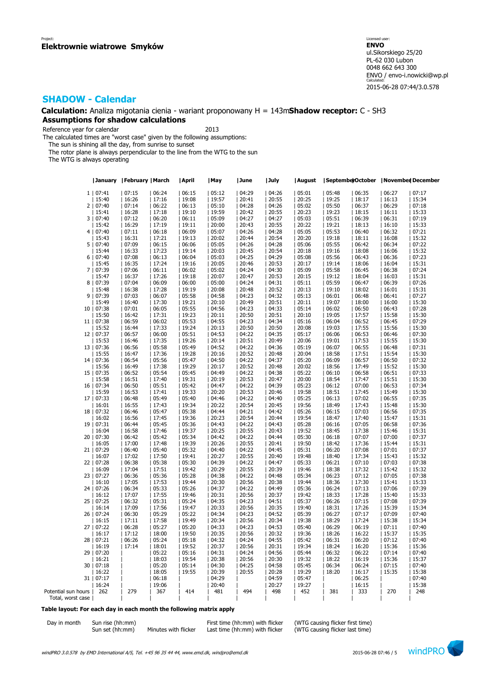**Calculation:** Analiza migotania cienia - wariant proponowany H = 143m**Shadow receptor:** C - SH3 **Assumptions for shadow calculations**

Reference year for calendar 2013

The calculated times are "worst case" given by the following assumptions:

The sun is shining all the day, from sunrise to sunset

The rotor plane is always perpendicular to the line from the WTG to the sun

The WTG is always operating

|                     |            | <b>January   February   March</b> |       | April | May   | June  | July  | August |       |       | SeptemberOctober   November December |       |
|---------------------|------------|-----------------------------------|-------|-------|-------|-------|-------|--------|-------|-------|--------------------------------------|-------|
|                     | 1   07:41  | 07:15                             | 06:24 | 06:15 | 05:12 | 04:29 | 04:26 | 05:01  | 05:48 | 06:35 | 06:27                                | 07:17 |
|                     | 15:40      | 16:26                             | 17:16 | 19:08 | 19:57 | 20:41 | 20:55 | 20:25  | 19:25 | 18:17 | 16:13                                | 15:34 |
|                     |            |                                   |       |       |       |       |       |        |       |       |                                      |       |
|                     | 2   07:40  | 07:14                             | 06:22 | 06:13 | 05:10 | 04:28 | 04:26 | 05:02  | 05:50 | 06:37 | 06:29                                | 07:18 |
|                     | 15:41      | 16:28                             | 17:18 | 19:10 | 19:59 | 20:42 | 20:55 | 20:23  | 19:23 | 18:15 | 16:11                                | 15:33 |
|                     | 3   07:40  | 07:12                             | 06:20 | 06:11 | 05:09 | 04:27 | 04:27 | 05:03  | 05:51 | 06:39 | 06:31                                | 07:19 |
|                     | 15:42      | 16:29                             | 17:19 | 19:11 | 20:00 | 20:43 | 20:55 | 20:22  | 19:21 | 18:13 | 16:10                                | 15:33 |
|                     | 4   07:40  | 07:11                             | 06:18 | 06:09 | 05:07 | 04:26 | 04:28 | 05:05  | 05:53 | 06:40 | 06:32                                | 07:21 |
|                     | 15:43      | 16:31                             | 17:21 | 19:13 | 20:02 | 20:44 | 20:54 | 20:20  | 19:18 | 18:11 | 16:08                                | 15:32 |
| 5                   | 07:40      | 07:09                             | 06:15 | 06:06 | 05:05 | 04:26 | 04:28 | 05:06  | 05:55 | 06:42 | 06:34                                | 07:22 |
|                     | 15:44      | 16:33                             | 17:23 | 19:14 | 20:03 | 20:45 | 20:54 | 20:18  | 19:16 | 18:08 | 16:06                                | 15:32 |
|                     | 6   07:40  | 07:08                             | 06:13 | 06:04 | 05:03 | 04:25 | 04:29 | 05:08  | 05:56 | 06:43 | 06:36                                | 07:23 |
|                     |            | 16:35                             |       | 19:16 | 20:05 | 20:46 | 20:53 | 20:17  | 19:14 | 18:06 | 16:04                                | 15:31 |
|                     | 15:45      |                                   | 17:24 |       |       |       |       |        |       |       |                                      |       |
| 71                  | 07:39      | 07:06                             | 06:11 | 06:02 | 05:02 | 04:24 | 04:30 | 05:09  | 05:58 | 06:45 | 06:38                                | 07:24 |
|                     | 15:47      | 16:37                             | 17:26 | 19:18 | 20:07 | 20:47 | 20:53 | 20:15  | 19:12 | 18:04 | 16:03                                | 15:31 |
| 8                   | 07:39      | 07:04                             | 06:09 | 06:00 | 05:00 | 04:24 | 04:31 | 05:11  | 05:59 | 06:47 | 06:39                                | 07:26 |
|                     | 15:48      | 16:38                             | 17:28 | 19:19 | 20:08 | 20:48 | 20:52 | 20:13  | 19:10 | 18:02 | 16:01                                | 15:31 |
| 9                   | 07:39      | 07:03                             | 06:07 | 05:58 | 04:58 | 04:23 | 04:32 | 05:13  | 06:01 | 06:48 | 06:41                                | 07:27 |
|                     | 15:49      | 16:40                             | 17:30 | 19:21 | 20:10 | 20:49 | 20:51 | 20:11  | 19:07 | 18:00 | 16:00                                | 15:30 |
|                     | 10   07:38 | 07:01                             | 06:05 | 05:55 | 04:56 | 04:23 | 04:33 | 05:14  | 06:02 | 06:50 | 06:43                                | 07:28 |
|                     | 15:50      | 16:42                             | 17:31 | 19:23 | 20:11 | 20:50 | 20:51 | 20:10  | 19:05 | 17:57 | 15:58                                | 15:30 |
|                     | 11   07:38 | 06:59                             | 06:02 | 05:53 | 04:55 | 04:23 | 04:34 | 05:16  | 06:04 | 06:52 | 06:45                                | 07:29 |
|                     |            |                                   |       |       |       |       |       |        |       |       |                                      |       |
|                     | 15:52      | 16:44                             | 17:33 | 19:24 | 20:13 | 20:50 | 20:50 | 20:08  | 19:03 | 17:55 | 15:56                                | 15:30 |
| 12 <sub>1</sub>     | 07:37      | 06:57                             | 06:00 | 05:51 | 04:53 | 04:22 | 04:35 | 05:17  | 06:06 | 06:53 | 06:46                                | 07:30 |
|                     | 15:53      | 16:46                             | 17:35 | 19:26 | 20:14 | 20:51 | 20:49 | 20:06  | 19:01 | 17:53 | 15:55                                | 15:30 |
|                     | 13   07:36 | 06:56                             | 05:58 | 05:49 | 04:52 | 04:22 | 04:36 | 05:19  | 06:07 | 06:55 | 06:48                                | 07:31 |
|                     | 15:55      | 16:47                             | 17:36 | 19:28 | 20:16 | 20:52 | 20:48 | 20:04  | 18:58 | 17:51 | 15:54                                | 15:30 |
|                     | 14   07:36 | 06:54                             | 05:56 | 05:47 | 04:50 | 04:22 | 04:37 | 05:20  | 06:09 | 06:57 | 06:50                                | 07:32 |
|                     | 15:56      | 16:49                             | 17:38 | 19:29 | 20:17 | 20:52 | 20:48 | 20:02  | 18:56 | 17:49 | 15:52                                | 15:30 |
| 15                  | 07:35      | 06:52                             | 05:54 | 05:45 | 04:49 | 04:22 | 04:38 | 05:22  | 06:10 | 06:58 | 06:51                                | 07:33 |
|                     | 15:58      | 16:51                             | 17:40 | 19:31 | 20:19 | 20:53 | 20:47 | 20:00  | 18:54 | 17:47 | 15:51                                | 15:30 |
| 16                  | 07:34      | 06:50                             | 05:51 | 05:42 | 04:47 | 04:22 | 04:39 | 05:23  | 06:12 | 07:00 | 06:53                                | 07:34 |
|                     |            |                                   |       | 19:33 |       |       |       |        |       |       |                                      |       |
|                     | 15:59      | 16:53                             | 17:41 |       | 20:20 | 20:53 | 20:46 | 19:58  | 18:51 | 17:45 | 15:49                                | 15:30 |
|                     | 17   07:33 | 06:48                             | 05:49 | 05:40 | 04:46 | 04:22 | 04:40 | 05:25  | 06:13 | 07:02 | 06:55                                | 07:35 |
|                     | 16:01      | 16:55                             | 17:43 | 19:34 | 20:22 | 20:54 | 20:45 | 19:56  | 18:49 | 17:43 | 15:48                                | 15:30 |
|                     | 18   07:32 | 06:46                             | 05:47 | 05:38 | 04:44 | 04:21 | 04:42 | 05:26  | 06:15 | 07:03 | 06:56                                | 07:35 |
|                     | 16:02      | 16:56                             | 17:45 | 19:36 | 20:23 | 20:54 | 20:44 | 19:54  | 18:47 | 17:40 | 15:47                                | 15:31 |
| 19                  | 07:31      | 06:44                             | 05:45 | 05:36 | 04:43 | 04:22 | 04:43 | 05:28  | 06:16 | 07:05 | 06:58                                | 07:36 |
|                     | 16:04      | 16:58                             | 17:46 | 19:37 | 20:25 | 20:55 | 20:43 | 19:52  | 18:45 | 17:38 | 15:46                                | 15:31 |
| 20                  | 07:30      | 06:42                             | 05:42 | 05:34 | 04:42 | 04:22 | 04:44 | 05:30  | 06:18 | 07:07 | 07:00                                | 07:37 |
|                     | 16:05      | 17:00                             | 17:48 | 19:39 | 20:26 | 20:55 | 20:41 | 19:50  | 18:42 | 17:36 | 15:44                                | 15:31 |
|                     | 21   07:29 | 06:40                             | 05:40 | 05:32 | 04:40 | 04:22 | 04:45 | 05:31  | 06:20 | 07:08 | 07:01                                | 07:37 |
|                     | 16:07      | 17:02                             | 17:50 | 19:41 | 20:27 | 20:55 | 20:40 | 19:48  | 18:40 | 17:34 | 15:43                                | 15:32 |
|                     |            |                                   |       |       |       |       |       |        |       |       |                                      |       |
|                     | 22   07:28 | 06:38                             | 05:38 | 05:30 | 04:39 | 04:22 | 04:47 | 05:33  | 06:21 | 07:10 | 07:03                                | 07:38 |
|                     | 16:09      | 17:04                             | 17:51 | 19:42 | 20:29 | 20:55 | 20:39 | 19:46  | 18:38 | 17:32 | 15:42                                | 15:32 |
| 23                  | 07:27      | 06:36                             | 05:36 | 05:28 | 04:38 | 04:22 | 04:48 | 05:34  | 06:23 | 07:12 | 07:05                                | 07:38 |
|                     | 16:10      | 17:05                             | 17:53 | 19:44 | 20:30 | 20:56 | 20:38 | 19:44  | 18:36 | 17:30 | 15:41                                | 15:33 |
|                     | 24   07:26 | 06:34                             | 05:33 | 05:26 | 04:37 | 04:22 | 04:49 | 05:36  | 06:24 | 07:13 | 07:06                                | 07:39 |
|                     | 16:12      | 17:07                             | 17:55 | 19:46 | 20:31 | 20:56 | 20:37 | 19:42  | 18:33 | 17:28 | 15:40                                | 15:33 |
|                     | 25   07:25 | 06:32                             | 05:31 | 05:24 | 04:35 | 04:23 | 04:51 | 05:37  | 06:26 | 07:15 | 07:08                                | 07:39 |
|                     | 16:14      | 17:09                             | 17:56 | 19:47 | 20:33 | 20:56 | 20:35 | 19:40  | 18:31 | 17:26 | 15:39                                | 15:34 |
|                     | 26   07:24 | 06:30                             | 05:29 | 05:22 | 04:34 | 04:23 | 04:52 | 05:39  | 06:27 | 07:17 | 07:09                                | 07:40 |
|                     | 16:15      | 17:11                             | 17:58 | 19:49 | 20:34 | 20:56 | 20:34 | 19:38  | 18:29 | 17:24 | 15:38                                | 15:34 |
| 27                  | 07:22      | 06:28                             | 05:27 | 05:20 | 04:33 | 04:23 | 04:53 | 05:40  | 06:29 | 06:19 | 07:11                                | 07:40 |
|                     |            |                                   |       |       |       |       |       |        |       |       |                                      |       |
|                     | 16:17      | 17:12                             | 18:00 | 19:50 | 20:35 | 20:56 | 20:32 | 19:36  | 18:26 | 16:22 | 15:37                                | 15:35 |
| 28                  | 07:21      | 06:26                             | 05:24 | 05:18 | 04:32 | 04:24 | 04:55 | 05:42  | 06:31 | 06:20 | 07:12                                | 07:40 |
|                     | 16:19      | 17:14                             | 18:01 | 19:52 | 20:37 | 20:56 | 20:31 | 19:34  | 18:24 | 16:20 | 15:36                                | 15:36 |
|                     | 29   07:20 |                                   | 05:22 | 05:16 | 04:31 | 04:24 | 04:56 | 05:44  | 06:32 | 06:22 | 07:14                                | 07:40 |
|                     | 16:21      |                                   | 18:03 | 19:54 | 20:38 | 20:56 | 20:30 | 19:32  | 18:22 | 16:19 | 15:36                                | 15:37 |
| 30                  | 07:18      |                                   | 05:20 | 05:14 | 04:30 | 04:25 | 04:58 | 05:45  | 06:34 | 06:24 | 07:15                                | 07:40 |
|                     | 16:22      |                                   | 18:05 | 19:55 | 20:39 | 20:55 | 20:28 | 19:29  | 18:20 | 16:17 | 15:35                                | 15:38 |
| 31 <sub>1</sub>     | 07:17      |                                   | 06:18 |       | 04:29 |       | 04:59 | 05:47  |       | 06:25 |                                      | 07:40 |
|                     | 16:24      |                                   | 19:06 |       | 20:40 |       | 20:27 | 19:27  |       | 16:15 |                                      | 15:38 |
| Potential sun hours | 262        | 279                               | 367   | 414   | 481   | 494   | 498   | 452    | 381   | 333   | 270                                  | 248   |
|                     |            |                                   |       |       |       |       |       |        |       |       |                                      |       |
| Total, worst case   |            |                                   |       |       |       |       |       |        |       |       |                                      |       |

### **Table layout: For each day in each month the following matrix apply**

| Day in month | Sun rise (hh:mm |
|--------------|-----------------|
|              | Sun set (hh:mm) |

 $S(\text{hh:mm})$  Minutes with flicker Last time  $(\text{hh:mm})$  with flicker

Day in month Sun rise (hh:mm)<br>Sun set (hh:mm) Minutes with flicker Last time (hh:mm) with flicker (WTG causing flicker last time)

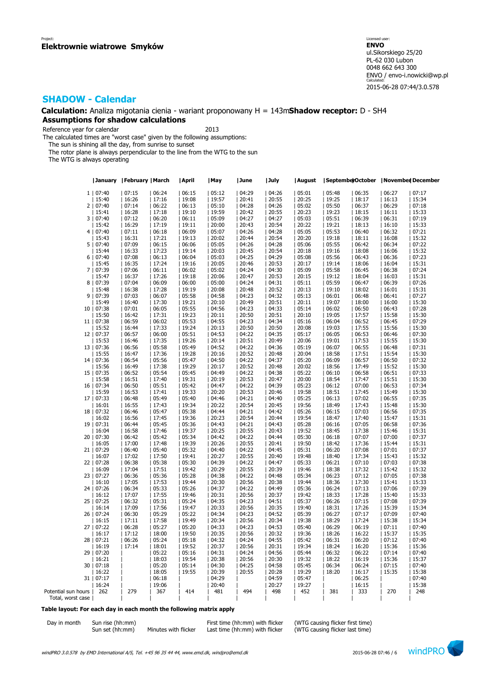**Calculation:** Analiza migotania cienia - wariant proponowany H = 143m**Shadow receptor:** D - SH4 **Assumptions for shadow calculations**

Reference year for calendar 2013

The calculated times are "worst case" given by the following assumptions:

The sun is shining all the day, from sunrise to sunset

The rotor plane is always perpendicular to the line from the WTG to the sun

The WTG is always operating

|                     |            | January   February   March |       | April | May   | June  | July  | August |       |       | SeptemberOctober   November December |       |  |
|---------------------|------------|----------------------------|-------|-------|-------|-------|-------|--------|-------|-------|--------------------------------------|-------|--|
|                     | 1   07:40  | 07:15                      | 06:24 | 06:15 | 05:12 | 04:29 | 04:26 | 05:01  | 05:48 | 06:35 | 06:27                                | 07:17 |  |
|                     | 15:40      | 16:26                      | 17:16 | 19:08 | 19:57 | 20:41 | 20:55 | 20:25  | 19:25 | 18:17 | 16:13                                | 15:34 |  |
|                     |            |                            |       |       |       |       |       |        |       |       |                                      |       |  |
|                     | 2   07:40  | 07:14                      | 06:22 | 06:13 | 05:10 | 04:28 | 04:26 | 05:02  | 05:50 | 06:37 | 06:29                                | 07:18 |  |
|                     | 15:41      | 16:28                      | 17:18 | 19:10 | 19:59 | 20:42 | 20:55 | 20:23  | 19:23 | 18:15 | 16:11                                | 15:33 |  |
|                     | 3   07:40  | 07:12                      | 06:20 | 06:11 | 05:09 | 04:27 | 04:27 | 05:03  | 05:51 | 06:39 | 06:31                                | 07:19 |  |
|                     | 15:42      | 16:29                      | 17:19 | 19:11 | 20:00 | 20:43 | 20:54 | 20:22  | 19:21 | 18:13 | 16:10                                | 15:33 |  |
|                     | 4   07:40  | 07:11                      | 06:18 | 06:09 | 05:07 | 04:26 | 04:28 | 05:05  | 05:53 | 06:40 | 06:32                                | 07:21 |  |
|                     | 15:43      | 16:31                      | 17:21 | 19:13 | 20:02 | 20:44 | 20:54 | 20:20  | 19:18 | 18:11 | 16:08                                | 15:32 |  |
| 5 <sub>1</sub>      | 07:40      | 07:09                      | 06:15 | 06:06 | 05:05 | 04:26 | 04:28 | 05:06  | 05:55 | 06:42 | 06:34                                | 07:22 |  |
|                     | 15:44      | 16:33                      | 17:23 | 19:14 | 20:03 | 20:45 | 20:54 | 20:18  | 19:16 | 18:08 | 16:06                                | 15:32 |  |
|                     | 6   07:40  | 07:08                      | 06:13 | 06:04 | 05:03 | 04:25 | 04:29 | 05:08  | 05:56 | 06:43 | 06:36                                | 07:23 |  |
|                     | 15:45      | 16:35                      | 17:24 | 19:16 | 20:05 | 20:46 | 20:53 | 20:17  | 19:14 | 18:06 | 16:04                                | 15:31 |  |
| 71                  | 07:39      | 07:06                      | 06:11 | 06:02 | 05:02 | 04:24 | 04:30 | 05:09  | 05:58 | 06:45 | 06:38                                | 07:24 |  |
|                     |            |                            |       |       |       |       |       |        |       |       |                                      |       |  |
|                     | 15:47      | 16:37                      | 17:26 | 19:18 | 20:06 | 20:47 | 20:53 | 20:15  | 19:12 | 18:04 | 16:03                                | 15:31 |  |
| 8                   | 07:39      | 07:04                      | 06:09 | 06:00 | 05:00 | 04:24 | 04:31 | 05:11  | 05:59 | 06:47 | 06:39                                | 07:26 |  |
|                     | 15:48      | 16:38                      | 17:28 | 19:19 | 20:08 | 20:48 | 20:52 | 20:13  | 19:10 | 18:02 | 16:01                                | 15:31 |  |
| 9                   | 07:39      | 07:03                      | 06:07 | 05:58 | 04:58 | 04:23 | 04:32 | 05:13  | 06:01 | 06:48 | 06:41                                | 07:27 |  |
|                     | 15:49      | 16:40                      | 17:30 | 19:21 | 20:10 | 20:49 | 20:51 | 20:11  | 19:07 | 18:00 | 16:00                                | 15:30 |  |
| 10                  | 07:38      | 07:01                      | 06:05 | 05:55 | 04:56 | 04:23 | 04:33 | 05:14  | 06:02 | 06:50 | 06:43                                | 07:28 |  |
|                     | 15:50      | 16:42                      | 17:31 | 19:23 | 20:11 | 20:50 | 20:51 | 20:10  | 19:05 | 17:57 | 15:58                                | 15:30 |  |
|                     | 11   07:38 | 06:59                      | 06:02 | 05:53 | 04:55 | 04:23 | 04:34 | 05:16  | 06:04 | 06:52 | 06:45                                | 07:29 |  |
|                     | 15:52      | 16:44                      | 17:33 | 19:24 | 20:13 | 20:50 | 20:50 | 20:08  | 19:03 | 17:55 | 15:56                                | 15:30 |  |
|                     | 12   07:37 | 06:57                      | 06:00 | 05:51 | 04:53 | 04:22 | 04:35 | 05:17  | 06:05 | 06:53 | 06:46                                | 07:30 |  |
|                     |            |                            |       |       |       |       |       |        |       |       |                                      |       |  |
|                     | 15:53      | 16:46                      | 17:35 | 19:26 | 20:14 | 20:51 | 20:49 | 20:06  | 19:01 | 17:53 | 15:55                                | 15:30 |  |
|                     | 13   07:36 | 06:56                      | 05:58 | 05:49 | 04:52 | 04:22 | 04:36 | 05:19  | 06:07 | 06:55 | 06:48                                | 07:31 |  |
|                     | 15:55      | 16:47                      | 17:36 | 19:28 | 20:16 | 20:52 | 20:48 | 20:04  | 18:58 | 17:51 | 15:54                                | 15:30 |  |
|                     | 14   07:36 | 06:54                      | 05:56 | 05:47 | 04:50 | 04:22 | 04:37 | 05:20  | 06:09 | 06:57 | 06:50                                | 07:32 |  |
|                     | 15:56      | 16:49                      | 17:38 | 19:29 | 20:17 | 20:52 | 20:48 | 20:02  | 18:56 | 17:49 | 15:52                                | 15:30 |  |
|                     | 15   07:35 | 06:52                      | 05:54 | 05:45 | 04:49 | 04:22 | 04:38 | 05:22  | 06:10 | 06:58 | 06:51                                | 07:33 |  |
|                     | 15:58      | 16:51                      | 17:40 | 19:31 | 20:19 | 20:53 | 20:47 | 20:00  | 18:54 | 17:47 | 15:51                                | 15:30 |  |
| 16                  | 07:34      | 06:50                      | 05:51 | 05:42 | 04:47 | 04:22 | 04:39 | 05:23  | 06:12 | 07:00 | 06:53                                | 07:34 |  |
|                     | 15:59      | 16:53                      | 17:41 | 19:33 | 20:20 | 20:53 | 20:46 | 19:58  | 18:51 | 17:45 | 15:49                                | 15:30 |  |
|                     | 17   07:33 | 06:48                      | 05:49 | 05:40 | 04:46 | 04:21 | 04:40 | 05:25  | 06:13 | 07:02 | 06:55                                | 07:35 |  |
|                     |            |                            |       |       |       |       |       |        |       |       |                                      |       |  |
|                     | 16:01      | 16:55                      | 17:43 | 19:34 | 20:22 | 20:54 | 20:45 | 19:56  | 18:49 | 17:43 | 15:48                                | 15:30 |  |
|                     | 18   07:32 | 06:46                      | 05:47 | 05:38 | 04:44 | 04:21 | 04:42 | 05:26  | 06:15 | 07:03 | 06:56                                | 07:35 |  |
|                     | 16:02      | 16:56                      | 17:45 | 19:36 | 20:23 | 20:54 | 20:44 | 19:54  | 18:47 | 17:40 | 15:47                                | 15:31 |  |
| 19                  | 07:31      | 06:44                      | 05:45 | 05:36 | 04:43 | 04:21 | 04:43 | 05:28  | 06:16 | 07:05 | 06:58                                | 07:36 |  |
|                     | 16:04      | 16:58                      | 17:46 | 19:37 | 20:25 | 20:55 | 20:43 | 19:52  | 18:45 | 17:38 | 15:46                                | 15:31 |  |
| 20                  | 07:30      | 06:42                      | 05:42 | 05:34 | 04:42 | 04:22 | 04:44 | 05:30  | 06:18 | 07:07 | 07:00                                | 07:37 |  |
|                     | 16:05      | 17:00                      | 17:48 | 19:39 | 20:26 | 20:55 | 20:41 | 19:50  | 18:42 | 17:36 | 15:44                                | 15:31 |  |
|                     | 21   07:29 | 06:40                      | 05:40 | 05:32 | 04:40 | 04:22 | 04:45 | 05:31  | 06:20 | 07:08 | 07:01                                | 07:37 |  |
|                     | 16:07      | 17:02                      | 17:50 | 19:41 | 20:27 | 20:55 | 20:40 | 19:48  | 18:40 | 17:34 | 15:43                                | 15:32 |  |
|                     | 22   07:28 | 06:38                      | 05:38 | 05:30 | 04:39 | 04:22 | 04:47 | 05:33  | 06:21 | 07:10 | 07:03                                | 07:38 |  |
|                     | 16:09      | 17:04                      | 17:51 | 19:42 | 20:29 | 20:55 | 20:39 | 19:46  | 18:38 | 17:32 | 15:42                                | 15:32 |  |
| 23                  | 07:27      | 06:36                      | 05:36 | 05:28 | 04:38 | 04:22 | 04:48 | 05:34  | 06:23 | 07:12 | 07:05                                | 07:38 |  |
|                     | 16:10      |                            |       | 19:44 |       |       |       |        |       | 17:30 |                                      | 15:33 |  |
|                     |            | 17:05                      | 17:53 |       | 20:30 | 20:56 | 20:38 | 19:44  | 18:36 |       | 15:41                                |       |  |
|                     | 24   07:26 | 06:34                      | 05:33 | 05:26 | 04:37 | 04:22 | 04:49 | 05:36  | 06:24 | 07:13 | 07:06                                | 07:39 |  |
|                     | 16:12      | 17:07                      | 17:55 | 19:46 | 20:31 | 20:56 | 20:37 | 19:42  | 18:33 | 17:28 | 15:40                                | 15:33 |  |
|                     | 25   07:25 | 06:32                      | 05:31 | 05:24 | 04:35 | 04:23 | 04:51 | 05:37  | 06:26 | 07:15 | 07:08                                | 07:39 |  |
|                     | 16:14      | 17:09                      | 17:56 | 19:47 | 20:33 | 20:56 | 20:35 | 19:40  | 18:31 | 17:26 | 15:39                                | 15:34 |  |
|                     | 26   07:24 | 06:30                      | 05:29 | 05:22 | 04:34 | 04:23 | 04:52 | 05:39  | 06:27 | 07:17 | 07:09                                | 07:40 |  |
|                     | 16:15      | 17:11                      | 17:58 | 19:49 | 20:34 | 20:56 | 20:34 | 19:38  | 18:29 | 17:24 | 15:38                                | 15:34 |  |
| 27                  | 07:22      | 06:28                      | 05:27 | 05:20 | 04:33 | 04:23 | 04:53 | 05:40  | 06:29 | 06:19 | 07:11                                | 07:40 |  |
|                     | 16:17      | 17:12                      | 18:00 | 19:50 | 20:35 | 20:56 | 20:32 | 19:36  | 18:26 | 16:22 | 15:37                                | 15:35 |  |
| 28                  | 07:21      | 06:26                      | 05:24 | 05:18 | 04:32 | 04:24 | 04:55 | 05:42  | 06:31 | 06:20 | 07:12                                | 07:40 |  |
|                     | 16:19      | 17:14                      | 18:01 | 19:52 | 20:37 | 20:56 | 20:31 | 19:34  | 18:24 | 16:20 | 15:36                                | 15:36 |  |
|                     |            |                            |       |       |       |       |       |        |       |       |                                      |       |  |
|                     | 29   07:20 |                            | 05:22 | 05:16 | 04:31 | 04:24 | 04:56 | 05:44  | 06:32 | 06:22 | 07:14                                | 07:40 |  |
|                     | 16:21      |                            | 18:03 | 19:54 | 20:38 | 20:56 | 20:30 | 19:32  | 18:22 | 16:19 | 15:36                                | 15:37 |  |
| 30                  | 07:18      |                            | 05:20 | 05:14 | 04:30 | 04:25 | 04:58 | 05:45  | 06:34 | 06:24 | 07:15                                | 07:40 |  |
|                     | 16:22      |                            | 18:05 | 19:55 | 20:39 | 20:55 | 20:28 | 19:29  | 18:20 | 16:17 | 15:35                                | 15:38 |  |
|                     | 31   07:17 |                            | 06:18 |       | 04:29 |       | 04:59 | 05:47  |       | 06:25 |                                      | 07:40 |  |
|                     | 16:24      |                            | 19:06 |       | 20:40 |       | 20:27 | 19:27  |       | 16:15 |                                      | 15:38 |  |
| Potential sun hours | 262        | 279                        | 367   | 414   | 481   | 494   | 498   | 452    | 381   | 333   | 270                                  | 248   |  |
| Total, worst case   |            |                            |       |       |       |       |       |        |       |       |                                      |       |  |

### **Table layout: For each day in each month the following matrix apply**

| Day in month | Sun rise (hh:mm |
|--------------|-----------------|
|              | Sun set (hh:mm) |

 $(hh:mm)$  Minutes with flicker Last time  $(hh:mm)$  with flicker

Day in month Sun rise (hh:mm)<br>Sun set (hh:mm) Minutes with flicker Last time (hh:mm) with flicker (WTG causing flicker last time)

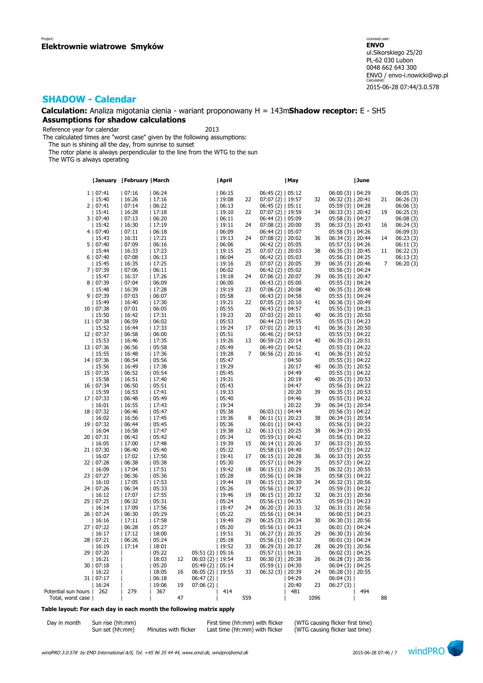### **Calculation:** Analiza migotania cienia - wariant proponowany H = 143m**Shadow receptor:** E - SH5 **Assumptions for shadow calculations**

Reference year for calendar 2013

The calculated times are "worst case" given by the following assumptions:

The sun is shining all the day, from sunrise to sunset

The rotor plane is always perpendicular to the line from the WTG to the sun

The WTG is always operating

|                     |                     | January   February   March |                |    |                      | April          |     |                                          | May            |      |                                         | June |    |           |
|---------------------|---------------------|----------------------------|----------------|----|----------------------|----------------|-----|------------------------------------------|----------------|------|-----------------------------------------|------|----|-----------|
|                     | 1   07:41           | 07:16                      | 06:24          |    |                      | 06:15          |     | $06:45(2)$   05:12                       |                |      | $06:00(3)$   04:29                      |      |    | 06:05 (3) |
|                     | 15:40               | 16:26                      | 17:16          |    |                      | 19:08          | 22  | $07:07(2)$   19:57                       |                | 32   | $06:32(3)$   20:41                      |      | 21 | 06:26 (3) |
|                     | 2   07:41           | 07:14                      | 06:22          |    |                      | 06:13          |     | $06:45(2)$   05:11                       |                |      | $05:59(3)$   04:28                      |      |    | 06:06 (3) |
|                     | 15:41               | 16:28                      | 17:18          |    |                      | 19:10          | 22  | $07:07(2)$   19:59                       |                | 34   | $06:33(3)$   20:42                      |      | 19 | 06:25(3)  |
|                     | 3   07:40           | 07:13                      | 06:20          |    |                      | 06:11          |     | $06:44(2)$   05:09                       |                |      | 05:58(3)   04:27                        |      |    | 06:08 (3) |
|                     | 15:42               | 16:30                      | 17:19          |    |                      | 19:11          | 24  | $07:08(2)$   20:00                       |                | 35   | $06:33(3)$   20:43                      |      | 16 | 06:24 (3) |
|                     | 4   07:40           | 07:11                      | 06:18          |    |                      | 06:09          |     | $06:44(2)$   05:07                       |                |      | $05:58(3)$   04:26                      |      |    | 06:09 (3) |
|                     | 15:43               | 16:31                      | 17:21          |    |                      | 19:13          | 24  | $07:08(2)$   20:02                       |                | 36   | $06:34(3)$   20:44                      |      | 14 | 06:23(3)  |
|                     | 5   07:40           | 07:09                      | 06:16          |    |                      | 06:06          |     | $06:42(2)$   05:05                       |                |      | 05:57 (3)   04:26                       |      |    | 06:11 (3) |
|                     | 15:44               | 16:33                      | 17:23          |    |                      | 19:15          | 25  | $07:07(2)$   20:03                       |                | 38   | $06:35(3)$   20:45                      |      | 11 | 06:22(3)  |
|                     | 6   07:40           | 07:08                      | 06:13          |    |                      | 06:04          |     | $06:42(2)$   05:03                       |                |      | 05:56(3)   04:25                        |      |    | 06:13(3)  |
|                     | 15:45               | 16:35                      | 17:25          |    |                      | 19:16          | 25  | $07:07(2)$   20:05                       |                | 39   | $06:35(3)$   20:46                      |      | 7  | 06:20(3)  |
|                     | 7   07:39           | 07:06                      | 06:11          |    |                      | 06:02          |     | $06:42(2)$   05:02                       |                |      | 05:56 (3)   04:24                       |      |    |           |
|                     | 15:47               | 16:37                      | 17:26          |    |                      | 19:18          | 24  | $07:06(2)$   20:07                       |                | 39   | $06:35(3)$   20:47                      |      |    |           |
|                     | 8   07:39           | 07:04                      | 06:09          |    |                      | 06:00          |     | $06:43(2)$   05:00                       |                |      | $05:55(3)$   04:24                      |      |    |           |
|                     | 15:48               | 16:39                      | 17:28          |    |                      | 19:19          | 23  | $07:06(2)$   20:08                       |                | 40   | $06:35(3)$   20:48                      |      |    |           |
|                     | 9   07:39           | 07:03                      | 06:07          |    |                      | 05:58          |     | $06:43(2)$   04:58                       |                |      | $05:55(3)$   04:24                      |      |    |           |
|                     | 15:49               | 16:40                      | 17:30          |    |                      | 19:21          | 22  | $07:05(2)$   20:10                       |                | 41   | $06:36(3)$   20:49                      |      |    |           |
|                     | 10   07:38          | 07:01                      | 06:05          |    |                      | 05:55          |     | $06:43(2)$   04:57                       |                |      |                                         |      |    |           |
|                     | 15:50               | 16:42                      | 17:31          |    |                      | 19:23          | 20  | $07:03(2)$   20:11                       |                | 40   | 05:55 (3)   04:23<br>$06:35(3)$   20:50 |      |    |           |
|                     |                     | 06:59                      | 06:02          |    |                      | 05:53          |     |                                          |                |      |                                         |      |    |           |
|                     | 11   07:38          |                            |                |    |                      |                | 17  | $06:44(2)$   04:55                       |                |      | 05:55 (3)   04:23                       |      |    |           |
|                     | 15:52               | 16:44                      | 17:33          |    |                      | 19:24<br>05:51 |     | $07:01(2)$   20:13                       |                | 41   | $06:36(3)$   20:50                      |      |    |           |
|                     | 12   07:37          | 06:58<br>16:46             | 06:00<br>17:35 |    |                      | 19:26          | 13  | $06:46(2)$   04:53                       |                | 40   | $05:55(3)$   04:22                      |      |    |           |
|                     | 15:53               |                            |                |    |                      |                |     | $06:59(2)$   20:14                       |                |      | $06:35(3)$   20:51                      |      |    |           |
|                     | 13   07:36          | 06:56                      | 05:58          |    |                      | 05:49          | 7   | $06:49(2)$   04:52                       |                |      | $05:55(3)$   04:22                      |      |    |           |
|                     | 15:55               | 16:48                      | 17:36          |    |                      | 19:28          |     | $06:56(2)$   20:16                       |                | 41   | $06:36(3)$   20:52                      |      |    |           |
|                     | 14   07:36          | 06:54                      | 05:56          |    |                      | 05:47          |     |                                          | 04:50          | 40   | $05:55(3)$   04:22                      |      |    |           |
|                     | 15:56               | 16:49                      | 17:38          |    |                      | 19:29          |     |                                          | 20:17          |      | $06:35(3)$   20:52                      |      |    |           |
|                     | 15   07:35          | 06:52<br>16:51             | 05:54<br>17:40 |    |                      | 05:45<br>19:31 |     |                                          | 04:49<br>20:19 | 40   | $05:55(3)$   04:22                      |      |    |           |
|                     | 15:58               |                            |                |    |                      |                |     |                                          |                |      | $06:35(3)$   20:53                      |      |    |           |
|                     | 16   07:34          | 06:50                      | 05:51          |    |                      | 05:43<br>19:33 |     |                                          | 04:47          | 39   | 05:56(3)   04:22                        |      |    |           |
|                     | 15:59               | 16:53                      | 17:41          |    |                      |                |     |                                          | 20:20          |      | $06:35(3)$   20:53                      |      |    |           |
|                     | 17   07:33          | 06:48                      | 05:49          |    |                      | 05:40<br>19:34 |     |                                          | 04:46          |      | $05:55(3)$   04:22                      |      |    |           |
|                     | 16:01               | 16:55                      | 17:43          |    |                      |                |     |                                          | 20:22          | 39   | $06:34(3)$   20:54                      |      |    |           |
|                     | 18   07:32          | 06:46                      | 05:47          |    |                      | 05:38          | 8   | $06:03(1)$   04:44                       |                | 38   | 05:56(3)   04:22                        |      |    |           |
|                     | 16:02               | 16:56<br>06:44             | 17:45<br>05:45 |    |                      | 19:36<br>05:36 |     | $06:11(1)$   20:23                       |                |      | $06:34(3)$   20:54                      |      |    |           |
|                     | 19   07:32          | 16:58                      | 17:47          |    |                      | 19:38          | 12  | $06:01(1)$   04:43                       |                | 38   | 05:56(3)   04:22                        |      |    |           |
|                     | 16:04<br>20   07:31 | 06:42                      | 05:42          |    |                      | 05:34          |     | $06:13(1)$   20:25                       |                |      | $06:34(3)$   20:55                      |      |    |           |
|                     | 16:05               | 17:00                      | 17:48          |    |                      | 19:39          | 15  | 05:59 (1)   04:42<br>$06:14(1)$   20:26  |                | 37   | 05:56(3)   04:22<br>$06:33(3)$   20:55  |      |    |           |
|                     | 21   07:30          | 06:40                      | 05:40          |    |                      | 05:32          |     |                                          |                |      | 05:57 (3)   04:22                       |      |    |           |
|                     | 16:07               | 17:02                      | 17:50          |    |                      | 19:41          | 17  | $05:58(1)$   04:40<br>$06:15(1)$   20:28 |                | 36   | $06:33(3)$   20:55                      |      |    |           |
|                     | 22   07:28          | 06:38                      | 05:38          |    |                      | 05:30          |     | 05:57 (1)   04:39                        |                |      | $05:57(3)$   04:22                      |      |    |           |
|                     | 16:09               | 17:04                      | 17:51          |    |                      | 19:42          | 18  | $06:15(1)$   20:29                       |                | 35   | $06:32(3)$   20:55                      |      |    |           |
|                     | 23   07:27          | 06:36                      | 05:36          |    |                      | 05:28          |     | 05:56(1)   04:38                         |                |      | 05:58(3)   04:22                        |      |    |           |
|                     | 16:10               | 17:05                      | 17:53          |    |                      | 19:44          | 19  | $06:15(1)$   20:30                       |                | 34   | $06:32(3)$   20:56                      |      |    |           |
|                     | 24   07:26          | 06:34                      | 05:33          |    |                      | 05:26          |     | $05:56(1)$   04:37                       |                |      | $05:59(3)$   04:22                      |      |    |           |
|                     | 16:12               | 17:07                      | 17:55          |    |                      | 19:46          | 19  | $06:15(1)$   20:32                       |                | 32   | $06:31(3)$   20:56                      |      |    |           |
|                     | 25   07:25          | 06:32                      | 05:31          |    |                      | 05:24          |     | $05:56(1)$   04:35                       |                |      | $05:59(3)$   04:23                      |      |    |           |
|                     | 16:14               | 17:09                      | 17:56          |    |                      | 19:47          | 24  | $06:20(3)$   20:33                       |                | 32   | $06:31(3)$   20:56                      |      |    |           |
|                     | 26   07:24          | 06:30                      | 05:29          |    |                      | 05:22          |     | 05:56(1)   04:34                         |                |      | 06:00(3)   04:23                        |      |    |           |
|                     | 16:16               | 17:11                      | 17:58          |    |                      | 19:49          | 29  | $06:25(3)$   20:34                       |                | 30   | $06:30(3)$   20:56                      |      |    |           |
|                     |                     | 06:28                      | 05:27          |    |                      | 05:20          |     |                                          |                |      |                                         |      |    |           |
|                     | 27   07:22<br>16:17 | 17:12                      | 18:00          |    |                      | 19:51          | 31  | 05:56(1)   04:33<br>$06:27(3)$   20:35   |                | 29   | 06:01(3)   04:24<br>$06:30(3)$   20:56  |      |    |           |
|                     | 28   07:21          | 06:26                      | 05:24          |    |                      | 05:18          |     | 05:56(1)   04:32                         |                |      | 06:01(3)   04:24                        |      |    |           |
|                     | 16:19               | 17:14                      | 18:01          |    |                      | 19:52          | 33  | $06:29(3)$   20:37                       |                | 28   |                                         |      |    |           |
|                     | 29   07:20          |                            | 05:22          |    | 05:51(2)   05:16     |                |     | $05:57(1)$   04:31                       |                |      | $06:29(3)$   20:56<br>06:02 (3)   04:25 |      |    |           |
|                     | 16:21               |                            | 18:03          | 12 | $06:03(2)$   19:54   |                | 33  | $06:30(3)$   20:38                       |                | 26   | $06:28(3)$   20:56                      |      |    |           |
|                     | 30   07:18          |                            | 05:20          |    | $05:49(2)$   $05:14$ |                |     | $05:59(1)$   04:30                       |                |      | $06:04(3)$   04:25                      |      |    |           |
|                     | 16:22               |                            | 18:05          | 16 | 06:05 (2)   19:55    |                | 33  | $06:32(3)$   20:39                       |                | 24   | $06:28(3)$   20:55                      |      |    |           |
|                     |                     |                            | 06:18          |    | 06:47(2)             |                |     |                                          | 04:29          |      | 06:04(3)                                |      |    |           |
|                     | 31   07:17<br>16:24 |                            | 19:06          | 19 | 07:06(2)             |                |     |                                          | 20:40          | 23   | 06:27(3)                                |      |    |           |
| Potential sun hours | 262                 | 279                        | 367            |    |                      | 414            |     |                                          | 481            |      |                                         | 494  |    |           |
| Total, worst case   |                     |                            |                | 47 |                      |                | 559 |                                          |                | 1096 |                                         |      | 88 |           |
|                     |                     |                            |                |    |                      |                |     |                                          |                |      |                                         |      |    |           |

#### **Table layout: For each day in each month the following matrix apply**

| Day in month | Sun rise (hh:mm) |                      | First time (hh:mm) with flicker | (WTG causing flicker first time) |
|--------------|------------------|----------------------|---------------------------------|----------------------------------|
|              | Sun set (hh:mm)  | Minutes with flicker | Last time (hh:mm) with flicker  | (WTG causing flicker last time)  |

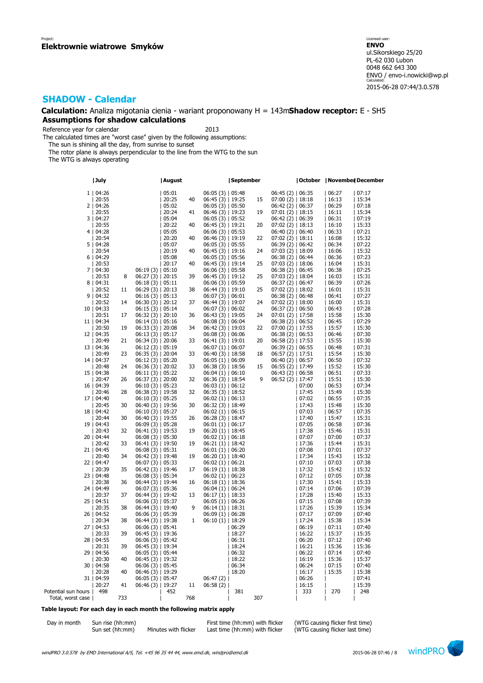### **Calculation:** Analiza migotania cienia - wariant proponowany H = 143m**Shadow receptor:** E - SH5 **Assumptions for shadow calculations**

Reference year for calendar 2013

The calculated times are "worst case" given by the following assumptions:

The sun is shining all the day, from sunrise to sunset

The rotor plane is always perpendicular to the line from the WTG to the sun

The WTG is always operating

|                     | July         |     |                    | August |     |                      | September |     |                    | October      | November  December |              |
|---------------------|--------------|-----|--------------------|--------|-----|----------------------|-----------|-----|--------------------|--------------|--------------------|--------------|
|                     | 1   04:26    |     |                    | 05:01  |     | $06:05(3)$   05:48   |           |     | $06:45(2)$   06:35 |              | 06:27              | 07:17        |
|                     | 20:55        |     |                    | 20:25  | 40  | $06:45(3)$   19:25   |           | 15  | $07:00(2)$   18:18 |              | 16:13              | 15:34        |
|                     | 2   04:26    |     |                    | 05:02  |     | $06:05(3)$   05:50   |           |     | $06:42(2)$   06:37 |              | 06:29              | 07:18        |
|                     | 20:55        |     |                    | 20:24  | 41  | $06:46(3)$   19:23   |           | 19  | $07:01(2)$   18:15 |              | 16:11              | 15:34        |
|                     | 3   04:27    |     |                    | 05:04  |     | 06:05(3)   05:52     |           |     | $06:42(2)$   06:39 |              | 06:31              | 07:19        |
|                     | 20:55        |     |                    | 20:22  | 40  | 06:45 (3)   19:21    |           | 20  | 07:02 (2)   18:13  |              | 16:10              | 15:33        |
|                     | 4   04:28    |     |                    | 05:05  |     | 06:06(3)   05:53     |           |     | $06:40(2)$   06:40 |              | 06:33              | 07:21        |
|                     | 20:54        |     |                    | 20:20  | 40  | $06:46(3)$   19:19   |           | 22  | $07:02(2)$   18:11 |              | 16:08              | 15:32        |
|                     | 5   04:28    |     |                    | 05:07  |     | $06:05(3)$   05:55   |           |     | $06:39(2)$   06:42 |              | 06:34              | 07:22        |
|                     | 20:54        |     |                    | 20:19  | 40  | $06:45(3)$   19:16   |           | 24  | $07:03(2)$   18:09 |              | 16:06              | 15:32        |
|                     | 6   04:29    |     |                    | 05:08  |     | 06:05(3)   05:56     |           |     | $06:38(2)$   06:44 |              | 06:36              | 07:23        |
|                     | 20:53        |     |                    | 20:17  | 40  | $06:45(3)$   19:14   |           | 25  | $07:03(2)$   18:06 |              | 16:04              | 15:31        |
|                     | 7   04:30    |     | 06:19(3)   05:10   |        |     | 06:06(3)   05:58     |           |     | $06:38(2)$   06:45 |              | 06:38              | 07:25        |
|                     | 20:53        | 8   | $06:27(3)$   20:15 |        | 39  | $06:45(3)$   19:12   |           | 25  | 07:03 (2)   18:04  |              | 16:03              | 15:31        |
|                     | 8   04:31    |     | 06:18(3)   05:11   |        |     | 06:06(3)   05:59     |           |     | $06:37(2)$   06:47 |              | 06:39              | 07:26        |
|                     | 20:52        | 11  | $06:29(3)$   20:13 |        | 38  | $06:44(3)$   19:10   |           | 25  | $07:02(2)$   18:02 |              | 16:01              | 15:31        |
|                     | 9   04:32    |     | 06:16(3)   05:13   |        |     | 06:07(3)   06:01     |           |     | 06:38(2)   06:48   |              | 06:41              | 07:27        |
|                     | 20:52        | 14  | $06:30(3)$   20:12 |        | 37  | $06:44(3)$   19:07   |           | 24  | $07:02(2)$   18:00 |              | 16:00              | 15:31        |
|                     | 10   04:33   |     | 06:15 (3)   05:14  |        |     | $06:07(3)$   $06:02$ |           |     | $06:37(2)$   06:50 |              | 06:43              | 07:28        |
|                     | 20:51        | 17  | $06:32(3)$   20:10 |        | 36  | $06:43(3)$   19:05   |           | 24  | $07:01(2)$   17:58 |              | 15:58              | 15:30        |
|                     | 11   04:34   |     | 06:14 (3)   05:16  |        |     | 06:08(3)   06:04     |           |     | 06:38(2)   06:52   |              | 06:45              | 07:29        |
|                     | 20:50        | 19  | $06:33(3)$   20:08 |        | 34  | $06:42(3)$   19:03   |           | 22  | $07:00(2)$   17:55 |              | 15:57              | 15:30        |
|                     | 12   04:35   |     | $06:13(3)$   05:17 |        |     | $06:08(3)$   06:06   |           |     | $06:38(2)$   06:53 |              | 06:46              | 07:30        |
|                     | 20:49        | 21  | $06:34(3)$   20:06 |        | 33  | $06:41(3)$   19:01   |           | 20  | $06:58(2)$   17:53 |              | 15:55              | 15:30        |
|                     | 13   04:36   |     | $06:12(3)$   05:19 |        |     | $06:07(1)$   06:07   |           |     | $06:39(2)$   06:55 |              | 06:48              | 07:31        |
|                     | 20:49        | 23  | $06:35(3)$   20:04 |        | 33  | $06:40(3)$   18:58   |           | 18  | $06:57(2)$   17:51 |              | 15:54              | 15:30        |
|                     | 14   04:37   |     | $06:12(3)$   05:20 |        |     | $06:05(1)$   06:09   |           |     | $06:40(2)$   06:57 |              | 06:50              | 07:32        |
|                     | 20:48        | 24  | $06:36(3)$   20:02 |        | 33  | $06:38(3)$   18:56   |           | 15  | $06:55(2)$   17:49 |              | 15:52              | 15:30        |
|                     | 15   04:38   |     | 06:11(3)   05:22   |        |     | $06:04(1)$   06:10   |           |     | $06:43(2)$   06:58 |              | 06:51              | 07:33        |
|                     | 20:47        | 26  | $06:37(3)$   20:00 |        | 32  | $06:36(3)$   18:54   |           | q   | 06:52 (2)   17:47  |              | 15:51              | 15:30        |
|                     | 16   04:39   |     | 06:10(3)   05:23   |        |     | $06:03(1)$   06:12   |           |     |                    | 07:00        | 06:53              | 07:34        |
|                     | 20:46        | 28  | $06:38(3)$   19:58 |        | 32  | $06:35(3)$   18:52   |           |     |                    | 17:45        | 15:49              | 15:30        |
|                     | 17   04:40   |     | $06:10(3)$   05:25 |        |     | $06:02(1)$   06:13   |           |     |                    | 07:02        | 06:55              | 07:35        |
|                     | 20:45        | 30  | $06:40(3)$   19:56 |        | 30  | $06:32(3)$   18:49   |           |     |                    | 17:43        | 15:48              | 15:30        |
|                     | 18   04:42   |     | 06:10 (3)   05:27  |        |     | $06:02(1)$   06:15   |           |     |                    | 07:03        | 06:57              | 07:35        |
|                     | 20:44        | 30  | $06:40(3)$   19:55 |        | 26  | $06:28(3)$   18:47   |           |     |                    | 17:40        | 15:47              | 15:31        |
|                     | 19   04:43   |     | $06:09(3)$   05:28 |        |     | 06:01(1)   06:17     |           |     |                    | 07:05        | 06:58              | 07:36        |
|                     | 20:43        | 32  | $06:41(3)$   19:53 |        | 19  | $06:20(1)$   18:45   |           |     |                    | 17:38        | 15:46              | 15:31        |
|                     | 20   04:44   |     | $06:08(3)$   05:30 |        |     | $06:02(1)$   06:18   |           |     |                    | 07:07        | 07:00              | 07:37        |
|                     | 20:42        | 33  | $06:41(3)$   19:50 |        | 19  | $06:21(1)$   18:42   |           |     |                    | 17:36        | 15:44              | 15:31        |
|                     | 21   04:45   |     | $06:08(3)$   05:31 |        |     | $06:01(1)$   $06:20$ |           |     |                    | 07:08        | 07:01              | 07:37        |
|                     | 20:40        | 34  | $06:42(3)$   19:48 |        | 19  | $06:20(1)$   18:40   |           |     |                    | 17:34        | 15:43              | 15:32        |
|                     | 22   04:47   |     | $06:07(3)$   05:33 |        |     | $06:02(1)$   $06:21$ |           |     |                    | 07:10        | 07:03              | 07:38        |
|                     | 20:39        | 35  | $06:42(3)$   19:46 |        | 17  | $06:19(1)$   18:38   |           |     |                    | 17:32        | 15:42              | 15:32        |
|                     | 23   04:48   |     | $06:08(3)$   05:34 |        |     | $06:02(1)$   06:23   |           |     |                    | 07:12        | 07:05              | 07:38        |
|                     | 20:38        | 36  | $06:44(3)$   19:44 |        | 16  | $06:18(1)$   18:36   |           |     |                    | 17:30        | 15:41              | 15:33        |
|                     | 24   04:49   |     | $06:07(3)$   05:36 |        |     | $06:04(1)$   06:24   |           |     |                    | 07:14        | 07:06              | 07:39        |
|                     | 20:37        | 37  | $06:44(3)$   19:42 |        | 13  | $06:17(1)$   18:33   |           |     |                    | 17:28        | 15:40              | 15:33        |
|                     | 25   04:51   |     | $06:06(3)$   05:37 |        |     | $06:05(1)$   06:26   |           |     |                    | 07:15        | 07:08              | 07:39        |
|                     | 20:35        | 38  | $06:44(3)$   19:40 |        | 9   | $06:14(1)$   18:31   |           |     |                    | 17:26        | 15:39              | 15:34        |
|                     | 26   04:52   |     | 06:06(3)   05:39   |        |     | $06:09(1)$   06:28   |           |     |                    | 07:17        | 07:09              | 07:40        |
|                     | 20:34        | 38  | $06:44(3)$   19:38 |        | 1   | 06:10 (1)   18:29    |           |     |                    | 17:24        | 15:38              | 15:34        |
|                     | 27   04:53   |     | $06:06(3)$   05:41 |        |     |                      | 06:29     |     |                    | 06:19        | 07:11              | 07:40        |
|                     | 20:33        | 39  | $06:45(3)$   19:36 |        |     |                      | 18:27     |     |                    | 16:22        | 15:37              | 15:35        |
|                     | 28   04:55   |     | $06:06(3)$   05:42 |        |     |                      | 06:31     |     |                    | 06:20        | 07:12              | 07:40        |
|                     | 20:31        | 39  | $06:45(3)$   19:34 |        |     |                      | 18:24     |     |                    | 16:21        | 15:36              | 15:36        |
|                     | 29   04:56   |     | $06:05(3)$   05:44 |        |     |                      | 06:32     |     |                    | 06:22        | 07:14              | 07:40        |
|                     | 20:30        | 40  | $06:45(3)$   19:32 |        |     |                      | 18:22     |     |                    | 16:19        | 15:36              | 15:37        |
|                     | 30   04:58   |     | 06:06(3)   05:45   |        |     |                      | 06:34     |     |                    | 06:24        | 07:15              | 07:40        |
|                     | 20:28        | 40  | $06:46(3)$   19:29 |        |     |                      | 18:20     |     |                    | 16:17        | 15:35              | 15:38        |
|                     | 31   04:59   |     | $06:05(3)$   05:47 |        |     | 06:47(2)             |           |     |                    | 06:26        |                    | 07:41        |
| Potential sun hours | 20:27<br>498 | 41  | $06:46(3)$   19:27 | 452    | 11  | 06:58(2)             | 381       |     |                    | 16:15<br>333 | 270                | 15:39<br>248 |
| Total, worst case   |              | 733 |                    |        | 768 |                      |           | 307 |                    |              |                    |              |
|                     |              |     |                    |        |     |                      |           |     |                    |              |                    |              |

#### **Table layout: For each day in each month the following matrix apply**

| Day in month | Sun rise (hh:mm) |                      | First time (hh:mm) with flicker | (WTG causing flicker first time) |
|--------------|------------------|----------------------|---------------------------------|----------------------------------|
|              | Sun set (hh:mm)  | Minutes with flicker | Last time (hh:mm) with flicker  | (WTG causing flicker last time)  |

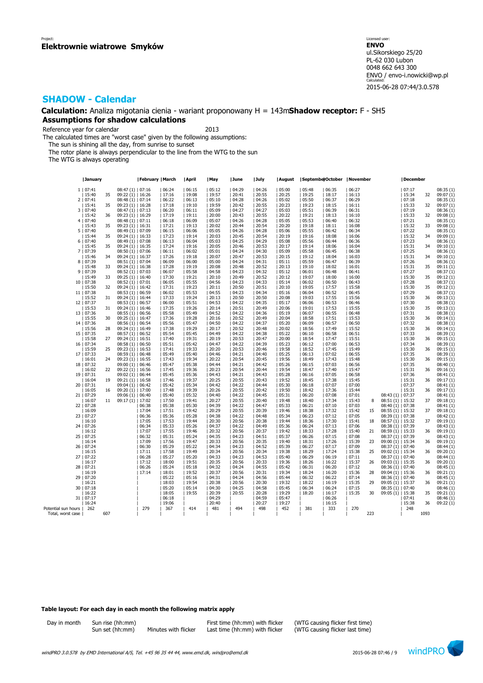**Calculation:** Analiza migotania cienia - wariant proponowany H = 143m**Shadow receptor:** F - SH5 **Assumptions for shadow calculations**

Reference year for calendar 2013

The calculated times are "worst case" given by the following assumptions:

The sun is shining all the day, from sunrise to sunset

The rotor plane is always perpendicular to the line from the WTG to the sun

The WTG is always operating

|                     | January             |     |                                         | February   March |                  | April          | May            | June           | July             | August         | SeptemberOctober   November |                |                 |     |                                         | December       |      |                        |
|---------------------|---------------------|-----|-----------------------------------------|------------------|------------------|----------------|----------------|----------------|------------------|----------------|-----------------------------|----------------|-----------------|-----|-----------------------------------------|----------------|------|------------------------|
|                     | 1   07:41           |     | $08:47(1)$   07:16                      |                  | 06:24            | 06:15          | 05:12          | 04:29          | 04:26            | 05:00          | 05:48                       | 06:35          | 06:27           |     |                                         | 07:17          |      | 08:35(1)               |
|                     | 15:40               | 35  | $09:22(1)$   16:26                      |                  | 17:16            | 19:08          | 19:57          | 20:41          | 20:55            | 20:25          | 19:25                       | 18:17          | 16:13           |     |                                         | 15:34          | 32   | 09:07(1)               |
|                     | 2   07:41           |     | 08:48 (1)   07:14                       |                  | 06:22            | 06:13          | 05:10          | 04:28          | 04:26            | 05:02          | 05:50                       | 06:37          | 06:29           |     |                                         | 07:18          |      | 08:35(1)               |
|                     | 15:41               | 35  | $09:23(1)$   16:28                      |                  | 17:18            | 19:10          | 19:59          | 20:42          | 20:55            | 20:23          | 19:23                       | 18:15          | 16:11           |     |                                         | 15:33          | 32   | 09:07(1)               |
|                     | 3   07:40           |     | $08:47(1)$   07:13                      |                  | 06:20            | 06:11          | 05:09          | 04:27          | 04:27            | 05:03          | 05:51                       | 06:39          | 06:31           |     |                                         | 07:19          |      | 08:36(1)               |
|                     | 15:42               | 36  | $09:23(1)$   16:29                      |                  | 17:19            | 19:11          | 20:00          | 20:43          | 20:55            | 20:22          | 19:21                       | 18:13          | 16:10           |     |                                         | 15:33          | 32   | 09:08 (1)              |
|                     | 4   07:40           |     | 08:48 (1)   07:11                       |                  | 06:18            | 06:09          | 05:07          | 04:26          | 04:28            | 05:05          | 05:53                       | 06:40          | 06:32           |     |                                         | 07:21          |      | 08:35(1)               |
|                     | 15:43               | 35  | $09:23(1)$   16:31                      |                  | 17:21            | 19:13          | 20:02          | 20:44          | 20:54            | 20:20          | 19:18                       | 18:11          | 16:08           |     |                                         | 15:32          | 33   | 09:08(1)               |
|                     | 5   07:40           |     | 08:49 (1)   07:09                       |                  | 06:15            | 06:06          | 05:05          | 04:26          | 04:28            | 05:06          | 05:55                       | 06:42          | 06:34           |     |                                         | 07:22          |      | 08:35(1)               |
|                     | 15:44               | 35  | $09:24(1)$   16:33                      |                  | 17:23            | 19:14          | 20:03          | 20:45          | 20:54            | 20:19          | 19:16                       | 18:08          | 16:06           |     |                                         | 15:32          | 34   | 09:09 (1)              |
|                     | 6   07:40           |     | 08:49 (1)   07:08                       |                  | 06:13            | 06:04          | 05:03          | 04:25          | 04:29            | 05:08          | 05:56                       | 06:44          | 06:36           |     |                                         | 07:23          |      | 08:36 (1)              |
|                     | 15:45               | 35  | $09:24(1)$   16:35                      |                  | 17:24            | 19:16          | 20:05          | 20:46          | 20:53            | 20:17          | 19:14                       | 18:06          | 16:04           |     |                                         | 15:31          | 34   | 09:10(1)               |
|                     | 7   07:39           |     | 08:50 (1)   07:06                       |                  | 06:11            | 06:02          | 05:01          | 04:24          | 04:30            | 05:09          | 05:58                       | 06:45          | 06:38           |     |                                         | 07:25          |      | 08:36(1)               |
|                     | 15:46               | 34  | $09:24(1)$   16:37                      |                  | 17:26            | 19:18          | 20:07          | 20:47          | 20:53            | 20:15          | 19:12                       | 18:04          | 16:03           |     |                                         | 15:31          | 34   | 09:10 (1)              |
|                     | 8   07:39           |     | $08:51(1)$   07:04                      |                  | 06:09            | 06:00          | 05:00          | 04:24          | 04:31            | 05:11          | 05:59                       | 06:47          | 06:39           |     |                                         | 07:26          |      | 08:36(1)               |
|                     | 15:48               | 33  | $09:24(1)$   16:38                      |                  | 17:28            | 19:19          | 20:08          | 20:48          | 20:52            | 20:13          | 19:10                       | 18:02          | 16:01           |     |                                         | 15:31          | 35   | 09:11(1)               |
|                     | 9   07:39           |     | $08:52(1)$   07:03                      |                  | 06:07            | 05:58          | 04:58          | 04:23          | 04:32            | 05:12          | 06:01                       | 06:48          | 06:41           |     |                                         | 07:27          |      | 08:37(1)               |
|                     | 15:49               | 33  | $09:25(1)$   16:40                      |                  | 17:30            | 19:21          | 20:10          | 20:49          | 20:52            | 20:12          | 19:07                       | 18:00          | 16:00           |     |                                         | 15:30          | 35   | 09:12(1)               |
|                     | 10   07:38          |     | $08:52(1)$   07:01                      |                  | 06:05            | 05:55          | 04:56          | 04:23          | 04:33            | 05:14          | 06:02                       | 06:50          | 06:43           |     |                                         | 07:28          |      | 08:37(1)               |
|                     | 15:50               | 32  | $09:24(1)$   16:42                      |                  | 17:31            | 19:23          | 20:11          | 20:50          | 20:51            | 20:10          | 19:05                       | 17:57          | 15:58           |     |                                         | 15:30          | 35   | 09:12(1)               |
|                     | 11   07:38          |     | $08:53(1)$   06:59                      |                  | 06:02            | 05:53          | 04:55          | 04:23          | 04:34            | 05:16          | 06:04                       | 06:52          | 06:45           |     |                                         | 07:29          |      | 08:37(1)<br>09:13(1)   |
|                     | 15:52<br>12   07:37 | 31  | 09:24 (1)   16:44<br>$08:53(1)$   06:57 |                  | 17:33<br>06:00   | 19:24<br>05:51 | 20:13<br>04:53 | 20:50<br>04:22 | 20:50<br>04:35   | 20:08<br>05:17 | 19:03<br> 06:06             | 17:55<br>06:53 | 15:56<br> 06:46 |     |                                         | 15:30<br>07:30 | 36   | 08:38(1)               |
|                     | 15:53               | 31  | $09:24(1)$   16:46                      |                  | 17:35            | 19:26          | 20:14          | 20:51          | 20:49            | 20:06          | 19:01                       | 17:53          | 15:55           |     |                                         | 15:30          | 35   | 09:13(1)               |
|                     | 13   07:36          |     | $08:55(1)$   06:56                      |                  | 05:58            | 05:49          | 04:52          | 04:22          | 04:36            | 05:19          | 06:07                       | 06:55          | 06:48           |     |                                         | 07:31          |      | 08:38(1)               |
|                     | 15:55               | 30  | $09:25(1)$   16:47                      |                  | 17:36            | 19:28          | 20:16          | 20:52          | 20:49            | 20:04          | 18:58                       | 17:51          | 15:53           |     |                                         | 15:30          | 36   | 09:14(1)               |
|                     | 14   07:36          |     | 08:56(1)   06:54                        |                  | 05:56            | 05:47          | 04:50          | 04:22          | 04:37            | 05:20          | 06:09                       | 06:57          | 06:50           |     |                                         | 07:32          |      | 08:38(1)               |
|                     | 15:56               | 28  | $09:24(1)$   16:49                      |                  | 17:38            | 19:29          | 20:17          | 20:52          | 20:48            | 20:02          | 18:56                       | 17:49          | 15:52           |     |                                         | 15:30          | 36   | 09:14(1)               |
|                     | 15   07:35          |     | $08:57(1)$   06:52                      |                  | 05:54            | 05:45          | 04:49          | 04:22          | 04:38            | 05:22          | 06:10                       | 06:58          | 06:51           |     |                                         | 07:33          |      | 08:39 (1)              |
|                     | 15:58               | 27  | $09:24(1)$   16:51                      |                  | 17:40            | 19:31          | 20:19          | 20:53          | 20:47            | 20:00          | 18:54                       | 17:47          | 15:51           |     |                                         | 15:30          | 36   | 09:15(1)               |
|                     | 16   07:34          |     | $08:58(1)$   $06:50$                    |                  | 05:51            | 05:42          | 04:47          | 04:22          | 04:39            | 05:23          | 06:12                       | 07:00          | 06:53           |     |                                         | 07:34          |      | 08:39(1)               |
|                     | 15:59               | 25  | $09:23(1)$   16:53                      |                  | 17:41            | 19:33          | 20:20          | 20:53          | 20:46            | 19:58          | 18:52                       | 17:45          | 15:49           |     |                                         | 15:30          | 36   | 09:15(1)               |
|                     | 17   07:33          |     | 08:59 (1)   06:48                       |                  | 05:49            | 05:40          | 04:46          | 04:21          | 04:40            | 05:25          | 06:13                       | 07:02          | 06:55           |     |                                         | 07:35          |      | 08:39 (1)              |
|                     | 16:01               | 24  | $09:23(1)$   16:55                      |                  | 17:43            | 19:34          | 20:22          | 20:54          | 20:45            | 19:56          | 18:49                       | 17:43          | 15:48           |     |                                         | 15:30          | 36   | 09:15(1)               |
|                     | 18   07:32          |     | 09:00 (1)   06:46                       |                  | 05:47            | 05:38          | 04:44          | 04:21          | 04:42            | 05:26          | 06:15                       | 07:03          | 06:56           |     |                                         | 07:35          |      | 08:40 (1)              |
|                     | 16:02               | 22  | $09:22(1)$   16:56                      |                  | 17:45            | 19:36          | 20:23          | 20:54          | 20:44            | 19:54          | 18:47                       | 17:40          | 15:47           |     |                                         | 15:31          | 36   | 09:16(1)               |
|                     | 19   07:31          |     | 09:02 (1)   06:44                       |                  | 05:45            | 05:36          | 04:43          | 04:21          | 04:43            | 05:28          | 06:16                       | 07:05          | 06:58           |     |                                         | 07:36          |      | 08:41(1)               |
|                     | 16:04               | 19  | $09:21(1)$   16:58                      |                  | 17:46            | 19:37          | 20:25          | 20:55          | 20:43            | 19:52          | 18:45                       | 17:38          | 15:45           |     |                                         | 15:31          | 36   | 09:17(1)               |
|                     | 20   07:31          |     | $09:04(1)$   $06:42$                    |                  | 05:42            | 05:34          | 04:42          | 04:22          | 04:44            | 05:30          | 06:18                       | 07:07          | 07:00           |     |                                         | 07:37          |      | 08:41(1)               |
|                     | 16:05               | 16  | 09:20 (1)   17:00                       |                  | 17:48            | 19:39          | 20:26          | 20:55          | 20:42            | 19:50          | 18:42                       | 17:36          | 15:44           |     |                                         | 15:31          | 36   | 09:17(1)               |
|                     | 21   07:29          |     | 09:06 (1)   06:40                       |                  | 05:40            | 05:32          | 04:40          | 04:22          | 04:45            | 05:31          | 06:20                       | 07:08          | 07:01           |     | 08:43 (1)   07:37                       |                |      | 08:41(1)               |
|                     | 16:07               | 11  | $09:17(1)$   17:02                      |                  | 17:50            | 19:41          | 20:27          | 20:55          | 20:40            | 19:48          | 18:40                       | 17:34          | 15:43           | 8   | $08:51(1)$   15:32                      |                | 37   | 09:18(1)               |
|                     | 22   07:28          |     |                                         | 06:38            | 05:38<br>  17:51 | 05:30          | 04:39          | 04:22          | 04:47<br>  20:39 | 05:33<br>19:46 | 06:21                       | 07:10          | 07:03           |     | 08:40 (1)   07:38                       |                |      | 08:41(1)               |
|                     | 16:09<br>23   07:27 |     |                                         | 17:04<br>06:36   | 05:36            | 19:42<br>05:28 | 20:29<br>04:38 | 20:55<br>04:22 | 04:48            | 05:34          | 18:38<br>06:23              | 17:32<br>07:12 | 15:42<br> 07:05 | 15  | $08:55(1)$   15:32<br>08:39 (1)   07:38 |                | 37   | 09:18 (1)<br>08:42 (1) |
|                     | 16:10               |     |                                         | 17:05            | 17:53            | 19:44          | 20:30          | 20:56          | 20:38            | 19:44          | 18:36                       | 17:30          | 15:41           | 18  | $08:57(1)$   15:32                      |                | 37   | 09:19(1)               |
|                     | 24   07:26          |     |                                         | 06:34            | 05:33            | 05:26          | 04:37          | 04:22          | 04:49            | 05:36          | 06:24                       | 07:13          | 07:06           |     | 08:38 (1)   07:39                       |                |      | 08:43(1)               |
|                     | 16:12               |     |                                         | 17:07            | 17:55            | 19:46          | 20:32          | 20:56          | 20:37            | 19:42          | 18:33                       | 17:28          | 15:40           | 21  | 08:59 (1)   15:33                       |                | 36   | 09:19(1)               |
|                     | 25   07:25          |     |                                         | 06:32            | 05:31            | 05:24          | 04:35          | 04:23          | 04:51            | 05:37          | 06:26                       | 07:15          | 07:08           |     | 08:37 (1)   07:39                       |                |      | 08:43(1)               |
|                     | 16:14               |     |                                         | 17:09            | 17:56            | 19:47          | 20:33          | 20:56          | 20:35            | 19:40          | 18:31                       | 17:26          | 15:39           | 23  | 09:00 (1)   15:34                       |                | 36   | 09:19(1)               |
|                     | 26   07:24          |     |                                         | 06:30            | 05:29            | 05:22          | 04:34          | 04:23          | 04:52            | 05:39          | 06:27                       | 07:17          | 07:09           |     | $08:37(1)$   07:40                      |                |      | 08:44(1)               |
|                     | 16:15               |     |                                         | 17:11            | 17:58            | 19:49          | 20:34          | 20:56          | 20:34            | 19:38          | 18:29                       | 17:24          | 15:38           | 25  | 09:02 (1)   15:34                       |                | 36   | 09:20 (1)              |
| 27                  | 07:22               |     |                                         | 06:28            | 05:27            | 05:20          | 04:33          | 04:23          | 04:53            | 05:40          | 06:29                       | 06:19          | 07:11           |     | $08:37(1)$   07:40                      |                |      | 08:44(1)               |
|                     | 16:17               |     |                                         | 17:12            | 18:00            | 19:51          | 20:35          | 20:56          | 20:33            | 19:36          | 18:26                       | 16:22          | 15:37           | 26  | $09:03(1)$   15:35                      |                | 36   | 09:20(1)               |
|                     | 28   07:21          |     |                                         | 06:26            | 05:24            | 05:18          | 04:32          | 04:24          | 04:55            | 05:42          | 06:31                       | 06:20          | 07:12           |     | 08:36 (1)   07:40                       |                |      | 08:45(1)               |
|                     | 16:19               |     |                                         | 17:14            | 18:01            | 19:52          | 20:37          | 20:56          | 20:31            | 19:34          | 18:24                       | 16:20          | 15:36           | 28  | 09:04 (1)   15:36                       |                | 36   | 09:21 (1)              |
|                     | 29   07:20          |     |                                         |                  | 05:22            | 05:16          | 04:31          | 04:24          | 04:56            | 05:44          | 06:32                       | 06:22          | 07:14           |     | 08:36 (1)   07:40                       |                |      | 08:45(1)               |
|                     | 16:21               |     |                                         |                  | 18:03            | 19:54          | 20:38          | 20:56          | 20:30            | 19:32          | 18:22                       | 16:19          | 15:35           | 29  | 09:05 (1)   15:37                       |                | 36   | 09:21(1)               |
|                     | 30   07:18          |     |                                         |                  | 05:20            | 05:14          | 04:30          | 04:25          | 04:58            | 05:45          | 06:34                       | 06:24          | 07:15           |     | $08:35(1)$   07:40                      |                |      | 08:46 (1)              |
|                     | 16:22               |     |                                         |                  | 18:05            | 19:55          | 20:39          | 20:55          | 20:28            | 19:29          | 18:20                       | 16:17          | 15:35           | 30  | 09:05 (1)   15:38                       |                | 35   | 09:21(1)               |
|                     | 31   07:17          |     |                                         |                  | 06:18            |                | 04:29          |                | 04:59            | 05:47          |                             | 06:26          |                 |     |                                         | 07:41          |      | 08:46(1)               |
|                     | 16:24               |     |                                         |                  | 19:06            |                | 20:40          |                | 20:27            | 19:27          |                             | 16:15          |                 |     |                                         | 15:38          | 36   | 09:22(1)               |
| Potential sun hours | 262                 |     |                                         | 279              | 367              | 414            | 481            | 494            | 498              | 452            | 381                         | 333            | 270             |     |                                         | 248            |      |                        |
| Total, worst case   |                     | 607 |                                         |                  |                  |                |                |                |                  |                |                             |                |                 | 223 |                                         |                | 1093 |                        |

#### **Table layout: For each day in each month the following matrix apply**

| Day in month | Sun rise (hh: |
|--------------|---------------|
|              | Sun set (hh:n |

nm) Minutes with flicker Last time (hh:mm) with flicker

Day in month Sun rise (hh:mm) First time (hh:mm) with flicker (WTG causing flicker first time)

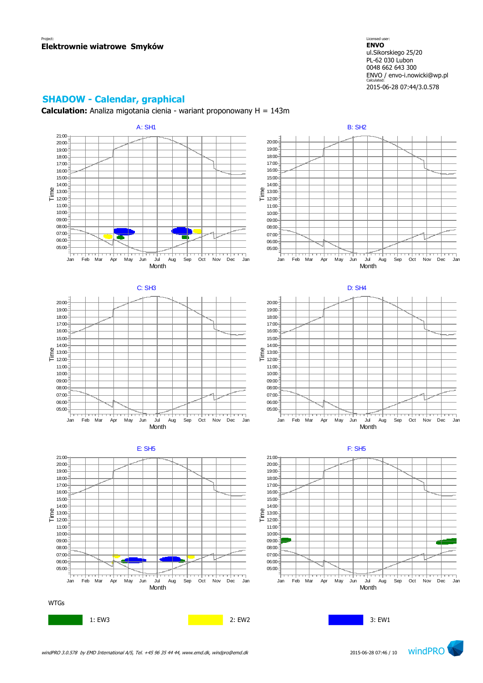Licensed user: **ENVO**  ul.Sikorskiego 25/20 PL-62 030 Lubon 0048 662 643 300 ENVO / envo-i.nowicki@wp.pl Calculated: 2015-06-28 07:44/3.0.578

## **SHADOW - Calendar, graphical**

**Calculation:** Analiza migotania cienia - wariant proponowany H = 143m

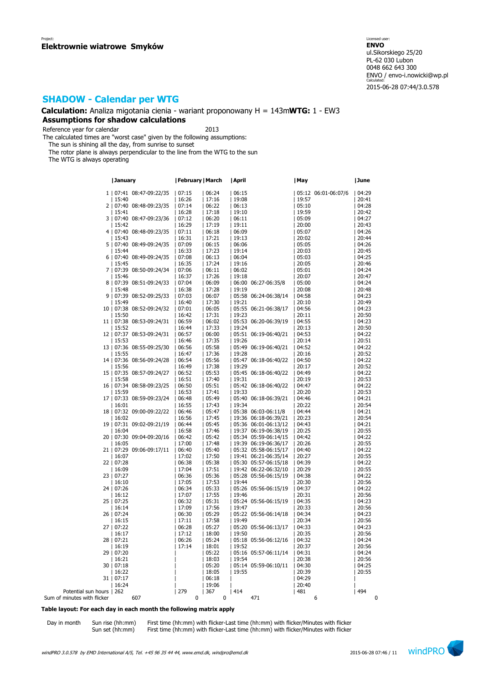**Calculation:** Analiza migotania cienia - wariant proponowany H = 143m**WTG:** 1 - EW3 **Assumptions for shadow calculations**

Reference year for calendar 2013

The calculated times are "worst case" given by the following assumptions:

The sun is shining all the day, from sunrise to sunset

The rotor plane is always perpendicular to the line from the WTG to the sun

The WTG is always operating

|                             | January                          | February   March |                 | April                                          | May                         | June           |
|-----------------------------|----------------------------------|------------------|-----------------|------------------------------------------------|-----------------------------|----------------|
|                             | 1   07:41 08:47-09:22/35   07:15 |                  | 06:24           | 06:15                                          | 05:12 06:01-06:07/6   04:29 |                |
|                             | 15:40                            | 16:26            |                 |                                                | 19:57                       | 20:41          |
|                             |                                  |                  | 17:16           | 19:08                                          |                             |                |
|                             | 2   07:40 08:48-09:23/35         | 07:14            | 06:22           | 06:13                                          | 05:10                       | 04:28          |
|                             | 15:41                            | 16:28            | 17:18           | 19:10                                          | 19:59                       | 20:42          |
|                             | 3   07:40 08:47-09:23/36         | 07:12            | 06:20           | 06:11                                          | 05:09                       | 04:27          |
|                             | 15:42                            | 16:29            | 17:19           | 19:11                                          | 20:00                       | 20:43          |
|                             | 4   07:40 08:48-09:23/35         | 07:11            | 06:18           | 06:09                                          | 05:07                       | 04:26          |
|                             | 15:43                            | 16:31            | 17:21           | 19:13                                          | 20:02                       | 20:44          |
|                             | 5   07:40 08:49-09:24/35         | 07:09            | 06:15           | 06:06                                          | 05:05                       | 04:26          |
|                             | 15:44                            | 16:33            | 17:23           | 19:14                                          | 20:03                       | 20:45          |
|                             | 6   07:40 08:49-09:24/35         | 07:08            | 06:13           | 06:04                                          | 05:03                       | 04:25          |
|                             | 15:45                            | 16:35            | 17:24           | 19:16                                          | 20:05                       | 20:46          |
|                             | 7   07:39 08:50-09:24/34         | 07:06            | 06:11           | 06:02                                          | 05:01                       | 04:24          |
|                             | 15:46                            | 16:37            | 17:26           | 19:18                                          | 20:07                       | 20:47          |
|                             | 8   07:39 08:51-09:24/33         | 07:04            | 06:09           | $ 06:0000:27-06:35/8$                          | 05:00                       | 04:24          |
|                             | 15:48                            | 16:38            | 17:28           | 19:19                                          | 20:08                       | 20:48          |
|                             | 9   07:39 08:52-09:25/33         | 07:03            | 06:07           | 05:58 06:24-06:38/14                           | 04:58                       | 04:23          |
|                             | 15:49                            | 16:40            | 17:30           | 19:21                                          | 20:10                       | 20:49          |
|                             | 10   07:38 08:52-09:24/32        | 07:01            | 06:05           | 05:55 06:21-06:38/17                           | 04:56                       | 04:23          |
|                             | 15:50                            | 16:42            | 17:31           | 19:23                                          | 20:11                       | 20:50          |
|                             | 11   07:38 08:53-09:24/31        | 06:59            | 06:02           | 05:53 06:20-06:39/19                           | 04:55                       | 04:23          |
|                             | 15:52                            | 16:44            | 17:33           | 19:24                                          | 20:13                       | 20:50          |
|                             | 12   07:37 08:53-09:24/31        | 06:57            | 06:00           | 05:51 06:19-06:40/21                           | 04:53                       | 04:22          |
|                             | 15:53                            | 16:46            | 17:35           | 19:26                                          | 20:14                       | 20:51          |
|                             | 13   07:36 08:55-09:25/30        | 06:56            | 05:58           | 05:49 06:19-06:40/21                           | 04:52                       | 04:22          |
|                             | 15:55                            | 16:47            | 17:36           | 19:28                                          | 20:16                       | 20:52          |
|                             | 14   07:36 08:56-09:24/28        | 06:54            | 05:56           | 05:47 06:18-06:40/22                           | 04:50                       | 04:22          |
|                             | 15:56                            | 16:49            | 17:38           | 19:29                                          | 20:17                       | 20:52          |
|                             | 15   07:35 08:57-09:24/27        | 06:52            | 05:53           | 05:45 06:18-06:40/22                           | 04:49                       | 04:22          |
|                             | 15:58                            | 16:51            | 17:40           | 19:31                                          | 20:19                       | 20:53          |
|                             | 16   07:34 08:58-09:23/25        | 06:50            | 05:51           | 05:42 06:18-06:40/22                           | 04:47                       | 04:22          |
|                             | 15:59                            | 16:53            | 17:41           | 19:33                                          | 20:20                       | 20:53          |
|                             | 17   07:33 08:59-09:23/24        | 06:48            | 05:49           | 05:40 06:18-06:39/21                           | 04:46                       | 04:21          |
|                             | 16:01                            | 16:55            | 17:43           | 19:34                                          | 20:22                       | 20:54          |
|                             | 18   07:32 09:00-09:22/22        | 06:46            | 05:47           | 05:38 06:03-06:11/8                            | 04:44                       | 04:21          |
|                             | 16:02                            | 16:56            | 17:45           | 19:36 06:18-06:39/21                           | 20:23                       | 20:54          |
|                             | 19   07:31 09:02-09:21/19        | 06:44            | 05:45           | $ 05:36 \t06:01-06:13/12$                      | 04:43                       | 04:21          |
|                             | 16:04                            | 16:58            | 17:46           | 19:37 06:19-06:38/19                           | 20:25                       | 20:55          |
|                             | 20   07:30 09:04-09:20/16        | 06:42            | 05:42           | $ 05:34 \t05:59-06:14/15$                      | 04:42                       | 04:22          |
|                             | 16:05                            | 17:00            | 17:48           | 19:39 06:19-06:36/17                           | 20:26                       | 20:55          |
|                             | 21   07:29 09:06-09:17/11        | 06:40            | 05:40           | 05:32 05:58-06:15/17                           | 04:40                       | 04:22          |
|                             | 16:07                            | 17:02            | 17:50           | 19:41 06:21-06:35/14                           | 20:27                       | 20:55          |
|                             | 22   07:28                       | 06:38            | 05:38           | 05:30 05:57-06:15/18                           | 04:39                       | 04:22          |
|                             | 16:09                            | 17:04            | 17:51           | 19:42 06:22-06:32/10<br>  05:28 05:56-06:15/19 | 20:29                       | 20:55          |
|                             | 23   07:27                       | 06:36<br>17:05   | 05:36<br> 17:53 | 19:44                                          | 04:38<br>20:30              | 04:22<br>20:56 |
|                             | 16:10                            | 06:34            |                 | 05:26 05:56-06:15/19                           | 04:37                       | 04:22          |
|                             | 24   07:26                       | 17:07            | 05:33           |                                                | 20:31                       |                |
|                             | 16:12                            | 06:32            | 17:55           | 19:46                                          | 04:35                       | 20:56          |
|                             | 25   07:25<br>16:14              | 17:09            | 05:31<br> 17:56 | 05:24 05:56-06:15/19<br> 19:47                 | 20:33                       | 04:23<br>20:56 |
|                             | 26   07:24                       | 06:30            | 05:29           | 05:22 05:56-06:14/18                           | 04:34                       | 04:23          |
|                             | 16:15                            | 17:11            | 17:58           | 19:49                                          | 20:34                       | 20:56          |
|                             | 27   07:22                       | 06:28            | 05:27           | 05:20 05:56-06:13/17                           | 04:33                       | 04:23          |
|                             | 16:17                            | 17:12            | 18:00           | 19:50                                          | 20:35                       | 20:56          |
|                             | 28   07:21                       | 06:26            | 05:24           | 05:18 05:56-06:12/16                           | 04:32                       | 04:24          |
|                             | 16:19                            | 17:14            | 18:01           | 19:52                                          | 20:37                       | 20:56          |
|                             | 29   07:20                       |                  | 05:22           | 05:16 05:57-06:11/14                           | 04:31                       | 04:24          |
|                             | 16:21                            |                  | 18:03           | 19:54                                          | 20:38                       | 20:56          |
|                             | 30   07:18                       |                  | 05:20           | 05:14 05:59-06:10/11                           | 04:30                       | 04:25          |
|                             | 16:22                            |                  | 18:05           | 19:55                                          | 20:39                       | 20:55          |
|                             | 31   07:17                       |                  | 06:18           |                                                | 04:29                       |                |
|                             | 16:24                            |                  | 19:06           |                                                | 20:40                       |                |
| Potential sun hours   262   |                                  | 279              | 367             | 414                                            | 481                         | 494            |
| Sum of minutes with flicker | 607                              | 0                | $\mathbf 0$     | 471                                            | 6                           | 0              |
|                             |                                  |                  |                 |                                                |                             |                |

#### **Table layout: For each day in each month the following matrix apply**

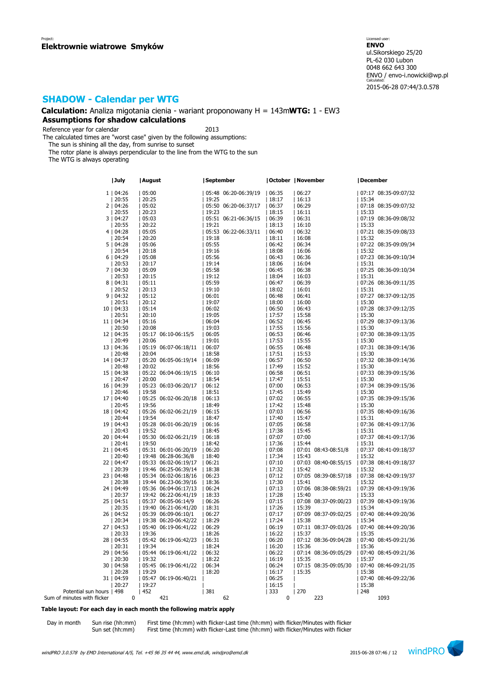### **Calculation:** Analiza migotania cienia - wariant proponowany H = 143m**WTG:** 1 - EW3 **Assumptions for shadow calculations**

Reference year for calendar 2013

The calculated times are "worst case" given by the following assumptions:

The sun is shining all the day, from sunrise to sunset

The rotor plane is always perpendicular to the line from the WTG to the sun

The WTG is always operating

|                             | July        | August |                      | September |                      | October   November |       |                      | December |                      |
|-----------------------------|-------------|--------|----------------------|-----------|----------------------|--------------------|-------|----------------------|----------|----------------------|
|                             | 1   04:26   | 05:00  |                      |           | 05:48 06:20-06:39/19 | 06:35              | 06:27 |                      |          | 07:17 08:35-09:07/32 |
|                             | 20:55       | 20:25  |                      | 19:25     |                      | 18:17              | 16:13 |                      | 15:34    |                      |
|                             | 2   04:26   |        |                      |           | 05:50 06:20-06:37/17 |                    |       |                      |          |                      |
|                             |             | 05:02  |                      |           |                      | 06:37              | 06:29 |                      |          | 07:18 08:35-09:07/32 |
|                             | 20:55       | 20:23  |                      | 19:23     |                      | 18:15              | 16:11 |                      | 15:33    |                      |
|                             | 3   04:27   | 05:03  |                      |           | 05:51 06:21-06:36/15 | 06:39              | 06:31 |                      |          | 07:19 08:36-09:08/32 |
|                             | 20:55       | 20:22  |                      | 19:21     |                      | 18:13              | 16:10 |                      | 15:33    |                      |
|                             | 4   04:28   | 05:05  |                      |           | 05:53 06:22-06:33/11 | 06:40              | 06:32 |                      |          | 07:21 08:35-09:08/33 |
|                             | 20:54       | 20:20  |                      | 19:18     |                      | 18:11              | 16:08 |                      | 15:32    |                      |
|                             | 5   04:28   | 05:06  |                      | 05:55     |                      | 06:42              | 06:34 |                      |          | 07:22 08:35-09:09/34 |
|                             | 20:54       | 20:18  |                      | 19:16     |                      | 18:08              | 16:06 |                      | 15:32    |                      |
|                             | 6   04:29   | 05:08  |                      | 05:56     |                      | 06:43              | 06:36 |                      |          | 07:23 08:36-09:10/34 |
|                             | 20:53       | 20:17  |                      | 19:14     |                      | 18:06              | 16:04 |                      | 15:31    |                      |
|                             | 7   04:30   | 05:09  |                      | 05:58     |                      | 06:45              | 06:38 |                      |          | 07:25 08:36-09:10/34 |
|                             | 20:53       | 20:15  |                      | 19:12     |                      | 18:04              | 16:03 |                      | 15:31    |                      |
|                             | 8   04:31   | 05:11  |                      | 05:59     |                      | 06:47              | 06:39 |                      |          | 07:26 08:36-09:11/35 |
|                             | 20:52       | 20:13  |                      | 19:10     |                      | 18:02              | 16:01 |                      | 15:31    |                      |
|                             | 9   04:32   | 05:12  |                      | 06:01     |                      | 06:48              | 06:41 |                      |          | 07:27 08:37-09:12/35 |
|                             | 20:51       | 20:12  |                      | 19:07     |                      | 18:00              | 16:00 |                      | 15:30    |                      |
|                             | 10   04:33  | 05:14  |                      | 06:02     |                      | 06:50              | 06:43 |                      |          | 07:28 08:37-09:12/35 |
|                             | 20:51       | 20:10  |                      | 19:05     |                      | 17:57              | 15:58 |                      | 15:30    |                      |
|                             | 11   04:34  | 05:16  |                      | 06:04     |                      | 06:52              | 06:45 |                      |          | 07:29 08:37-09:13/36 |
|                             | 20:50       | 20:08  |                      | 19:03     |                      | 17:55              | 15:56 |                      | 15:30    |                      |
|                             | 12   04:35  |        | 05:17 06:10-06:15/5  | 06:05     |                      | 06:53              | 06:46 |                      |          | 07:30 08:38-09:13/35 |
|                             | 20:49       | 20:06  |                      | 19:01     |                      | 17:53              | 15:55 |                      | 15:30    |                      |
|                             | 13   04:36  |        | 05:19 06:07-06:18/11 | 06:07     |                      | 06:55              | 06:48 |                      |          | 07:31 08:38-09:14/36 |
|                             | 20:48       | 20:04  |                      | 18:58     |                      | 17:51              | 15:53 |                      | 15:30    |                      |
|                             | 14   04:37  |        | 05:20 06:05-06:19/14 | 06:09     |                      | 06:57              | 06:50 |                      |          | 07:32 08:38-09:14/36 |
|                             | 20:48       | 20:02  |                      | 18:56     |                      | 17:49              | 15:52 |                      | 15:30    |                      |
|                             | 15   04:38  |        | 05:22 06:04-06:19/15 | 06:10     |                      | 06:58              | 06:51 |                      |          | 07:33 08:39-09:15/36 |
|                             | 20:47       | 20:00  |                      | 18:54     |                      | 17:47              | 15:51 |                      | 15:30    |                      |
|                             | 16   04:39  |        | 05:23 06:03-06:20/17 | 06:12     |                      | 07:00              | 06:53 |                      |          | 07:34 08:39-09:15/36 |
|                             | 20:46       | 19:58  |                      | 18:51     |                      | 17:45              | 15:49 |                      | 15:30    |                      |
|                             | 17   04:40  |        | 05:25 06:02-06:20/18 | 06:13     |                      | 07:02              | 06:55 |                      |          | 07:35 08:39-09:15/36 |
|                             | 20:45       | 19:56  |                      | 18:49     |                      | 17:42              | 15:48 |                      | 15:30    |                      |
|                             | 18   04:42  |        | 05:26 06:02-06:21/19 | 06:15     |                      | 07:03              | 06:56 |                      |          | 07:35 08:40-09:16/36 |
|                             | 20:44       | 19:54  |                      | 18:47     |                      | 17:40              | 15:47 |                      | 15:31    |                      |
|                             | 19   04:43  |        | 05:28 06:01-06:20/19 | 06:16     |                      | 07:05              | 06:58 |                      |          | 07:36 08:41-09:17/36 |
|                             | 20:43       | 19:52  |                      | 18:45     |                      | 17:38              | 15:45 |                      | 15:31    |                      |
|                             | 20   04:44  |        | 05:30 06:02-06:21/19 | 06:18     |                      | 07:07              | 07:00 |                      |          | 07:37 08:41-09:17/36 |
|                             | 20:41       | 19:50  |                      | 18:42     |                      | 17:36              | 15:44 |                      | 15:31    |                      |
|                             | 21   04:45  |        | 05:31 06:01-06:20/19 | 06:20     |                      | 07:08              |       | 07:01 08:43-08:51/8  |          | 07:37 08:41-09:18/37 |
|                             | 20:40       |        | 19:48 06:28-06:36/8  | 18:40     |                      | 17:34              | 15:43 |                      | 15:32    |                      |
|                             | 22   04:47  |        | 05:33 06:02-06:19/17 | 06:21     |                      | 07:10              |       | 07:03 08:40-08:55/15 |          | 07:38 08:41-09:18/37 |
|                             | 20:39       |        | 19:46 06:25-06:39/14 | 18:38     |                      | 17:32              | 15:42 |                      | 15:32    |                      |
|                             | 23   04:48  |        | 05:34 06:02-06:18/16 | 06:23     |                      | 07:12              |       | 07:05 08:39-08:57/18 |          | 07:38 08:42-09:19/37 |
|                             | 20:38       |        | 19:44 06:23-06:39/16 | 18:36     |                      | 17:30              | 15:41 |                      | 15:32    |                      |
|                             | 24   04:49  |        | 05:36 06:04-06:17/13 | 06:24     |                      | 07:13              |       | 07:06 08:38-08:59/21 |          | 07:39 08:43-09:19/36 |
|                             | 20:37       |        | 19:42 06:22-06:41/19 | 18:33     |                      | 17:28              | 15:40 |                      | 15:33    |                      |
|                             | 25   04:51  |        | 05:37 06:05-06:14/9  | 06:26     |                      | 07:15              |       | 07:08 08:37-09:00/23 |          | 07:39 08:43-09:19/36 |
|                             | 20:35       |        | 19:40 06:21-06:41/20 | 18:31     |                      | 17:26              | 15:39 |                      | 15:34    |                      |
|                             | 26   04:52  |        | 05:39 06:09-06:10/1  | 06:27     |                      | 07:17              |       | 07:09 08:37-09:02/25 |          | 07:40 08:44-09:20/36 |
|                             | 20:34       |        | 19:38 06:20-06:42/22 | 18:29     |                      | 17:24              | 15:38 |                      | 15:34    |                      |
|                             | 27   04:53  |        | 05:40 06:19-06:41/22 | 06:29     |                      | 06:19              |       | 07:11 08:37-09:03/26 |          | 07:40 08:44-09:20/36 |
|                             | 20:33       | 19:36  |                      | 18:26     |                      | 16:22              | 15:37 |                      | 15:35    |                      |
|                             | 28   04:55  |        | 05:42 06:19-06:42/23 | 06:31     |                      | 06:20              |       | 07:12 08:36-09:04/28 |          | 07:40 08:45-09:21/36 |
|                             | 20:31       | 19:34  |                      | 18:24     |                      | 16:20              | 15:36 |                      | 15:36    |                      |
|                             | 29   04:56  |        | 05:44 06:19-06:41/22 | 06:32     |                      | 06:22              |       | 07:14 08:36-09:05/29 |          | 07:40 08:45-09:21/36 |
|                             | 20:30       | 19:32  |                      | 18:22     |                      | 16:19              | 15:35 |                      | 15:37    |                      |
|                             | 30   04:58  |        | 05:45 06:19-06:41/22 | 06:34     |                      | 06:24              |       | 07:15 08:35-09:05/30 |          | 07:40 08:46-09:21/35 |
|                             | 20:28       | 19:29  |                      | 18:20     |                      | 16:17              | 15:35 |                      | 15:38    |                      |
|                             | 31   04:59  |        | 05:47 06:19-06:40/21 |           |                      | 06:25              |       |                      |          | 07:40 08:46-09:22/36 |
|                             | 20:27       | 19:27  |                      |           |                      | 16:15              |       |                      | 15:38    |                      |
| Potential sun hours   498   |             | 1452   |                      | 381       |                      | 333                | 270   |                      | 248      |                      |
| Sum of minutes with flicker | $\mathbf 0$ |        | 421                  |           | 62                   | $\mathbf{0}$       |       | 223                  |          | 1093                 |

#### **Table layout: For each day in each month the following matrix apply**

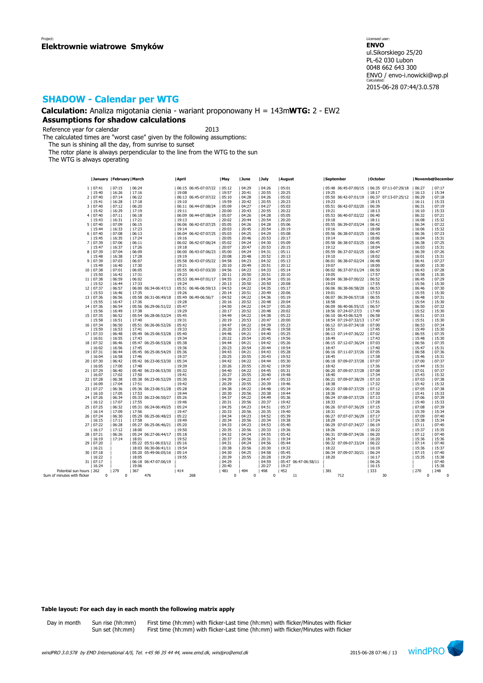**Calculation:** Analiza migotania cienia - wariant proponowany H = 143m**WTG:** 2 - EW2 **Assumptions for shadow calculations**

Reference year for calendar 2013

The calculated times are "worst case" given by the following assumptions:

The sun is shining all the day, from sunrise to sunset

The rotor plane is always perpendicular to the line from the WTG to the sun

The WTG is always operating

|                             |            | <b>January   February   March</b> |                         | April                  | May      | June     | July  | August               | September                                   | October              |          | NovemberDecember |
|-----------------------------|------------|-----------------------------------|-------------------------|------------------------|----------|----------|-------|----------------------|---------------------------------------------|----------------------|----------|------------------|
|                             | 1   07:41  | 07:15                             | 06:24                   | 06:15 06:45-07:07/22   | 05:12    | 04:29    | 04:26 | 05:01                | 05:48 06:45-07:00/15   06:35 07:11-07:29/18 |                      | 06:27    | 07:17            |
|                             | 15:40      | 16:26                             | 17:16                   | 19:08                  | 19:57    | 20:41    | 20:55 | 20:25                | 19:25                                       | 18:17                | 16:13    | 15:34            |
|                             |            |                                   |                         |                        |          |          |       |                      |                                             |                      |          |                  |
|                             | 2   07:40  | 07:14                             | 06:22                   | 06:13 06:45-07:07/22   | 05:10    | 04:28    | 04:26 | 05:02                | 05:50 06:42-07:01/19                        | 06:37 07:13-07:25/12 | 06:29    | 07:18            |
|                             | 15:41      | 16:28                             | 17:18                   | 19:10                  | 19:59    | 20:42    | 20:55 | 20:23                | 19:23                                       | 18:15                | 16:11    | 15:33            |
|                             | 3   07:40  | 07:12                             | 06:20                   | 06:11 06:44-07:08/24   | 05:09    | 04:27    | 04:27 | 05:03                | 05:51 06:42-07:02/20                        | 06:39                | 06:31    | 07:19            |
|                             | 15:42      | 16:29                             | 17:19                   | 19:11                  | 20:00    | 20:43    | 20:55 | 20:22                | 19:21                                       | 18:13                | 16:10    | 15:33            |
|                             | 4   07:40  | 07:11                             | 06:18                   | 06:09 06:44-07:08/24   | 05:07    | 04:26    | 04:28 | 05:05                | 05:53 06:40-07:02/22                        | 06:40                | 06:32    | 07:21            |
|                             | 15:43      | 16:31                             | 17:21                   | 19:13                  | 20:02    | 20:44    | 20:54 | 20:20                | 19:18                                       | 18:11                | 16:08    | 15:32            |
|                             | 5   07:40  | 07:09                             | 06:15                   | 06:06 06:42-07:07/25   | 05:05    | 04:26    | 04:28 | 05:06                | 05:55 06:39-07:03/24                        | 06:42                | 06:34    | 07:22            |
|                             |            | 16:33                             | 17:23                   | 19:14                  | 20:03    | 20:45    | 20:54 | 20:19                | 19:16                                       | 18:08                | 16:06    | 15:32            |
|                             | 15:44      |                                   |                         |                        |          |          |       |                      |                                             |                      |          |                  |
|                             | 6   07:40  | 07:08                             | 06:13                   | 06:04 06:42-07:07/25   | 05:03    | 04:25    | 04:29 | 05:08                | 05:56 06:38-07:03/25                        | 06:43                | 06:36    | 07:23            |
|                             | 15:45      | 16:35                             | 17:24                   | 19:16                  | 20:05    | 20:46    | 20:53 | 20:17                | 19:14                                       | 18:06                | 16:04    | 15:31            |
|                             | 7   07:39  | 07:06                             | 06:11                   | 06:02 06:42-07:06/24   | 05:02    | 04:24    | 04:30 | 05:09                | 05:58 06:38-07:03/25                        | 06:45                | 06:38    | 07:25            |
|                             | 15:47      | 16:37                             | 17:26                   | 19:18                  | 20:07    | 20:47    | 20:53 | 20:15                | 19:12                                       | 18:04                | 16:03    | 15:31            |
|                             | 8   07:39  | 07:04                             | 06:09                   | 06:00 06:43-07:06/23   | 05:00    | 04:24    | 04:31 | 05:11                | 05:59 06:37-07:02/25                        | 06:47                | 06:39    | 07:26            |
|                             | 15:48      | 16:38                             | 17:28                   | 19:19                  | 20:08    | 20:48    | 20:52 | 20:13                | 19:10                                       | 18:02                | 16:01    | 15:31            |
|                             | 9   07:39  | 07:03                             | 06:07                   | 05:58 06:43-07:05/22   | 04:58    | 04:23    | 04:32 | 05:13                | 06:01 06:38-07:02/24                        | 06:48                | 06:41    | 07:27            |
|                             | 15:49      | 16:40                             | 17:30                   | 19:21                  | 20:10    | 20:49    | 20:51 | 20:12                | 19:07                                       |                      | 16:00    | 15:30            |
|                             |            |                                   |                         |                        |          |          |       |                      |                                             | 18:00                |          |                  |
|                             | 10   07:38 | 07:01                             | 06:05                   | 05:55 06:43-07:03/20   | 04:56    | 04:23    | 04:33 | 05:14                | 06:02 06:37-07:01/24                        | 06:50                | 06:43    | 07:28            |
|                             | 15:50      | 16:42                             | 17:31                   | 19:23                  | 20:11    | 20:50    | 20:51 | 20:10                | 19:05                                       | 17:57                | 15:58    | 15:30            |
|                             | 11   07:38 | 06:59                             | 06:02                   | 05:53 06:44-07:01/17   | 04:55    | 04:23    | 04:34 | 05:16                | 06:04 06:38-07:00/22                        | 06:52                | 06:45    | 07:29            |
|                             | 15:52      | 16:44                             | 17:33                   | 19:24                  | 20:13    | 20:50    | 20:50 | 20:08                | 19:03                                       | 17:55                | 15:56    | 15:30            |
|                             | 12   07:37 | 06:57                             | 06:00 06:34-06:47/13    | 05:51 06:46-06:59/13   | 04:53    | 04:22    | 04:35 | 05:17                | 06:06 06:38-06:58/20                        | 06:53                | 06:46    | 07:30            |
|                             | 15:53      | 16:46                             | 17:35                   | 19:26                  | 20:14    | 20:51    | 20:49 | 20:06                | 19:01                                       | 17:53                | 15:55    | 15:30            |
|                             | 13   07:36 | 06:56                             | 05:58 06:31-06:49/18    | 05:49<br>06:49-06:56/7 | 04:52    | 04:22    | 04:36 | 05:19                | 06:07 06:39-06:57/18                        | 06:55                | 06:48    | 07:31            |
|                             |            |                                   |                         |                        |          |          |       |                      |                                             |                      |          |                  |
|                             | 15:55      | 16:47                             | 17:36                   | 19:28                  | 20:16    | 20:52    | 20:48 | 20:04                | 18:58                                       | 17:51                | 15:54    | 15:30            |
|                             | 14   07:36 | 06:54                             | 05:56 06:29-06:51/22    | 05:47                  | 04:50    | 04:22    | 04:37 | 05:20                | 06:09 06:40-06:55/15                        | 06:57                | 06:50    | 07:32            |
|                             | 15:56      | 16:49                             | 17:38                   | 19:29                  | 20:17    | 20:52    | 20:48 | 20:02                | 18:56 07:24-07:27/3                         | 17:49                | 15:52    | 15:30            |
|                             | 15   07:35 | 06:52                             | 05:54 06:28-06:52/24    | 05:45                  | 04:49    | 04:22    | 04:38 | 05:22                | 06:10 06:43-06:52/9                         | 06:58                | 06:51    | 07:33            |
|                             | 15:58      | 16:51                             | 17:40                   | 19:31                  | 20:19    | 20:53    | 20:47 | 20:00                | 18:54 07:19-07:32/13                        | 17:47                | 15:51    | 15:30            |
|                             | 16   07:34 | 06:50                             | 05:51 06:26-06:52/26    | 05:42                  | 04:47    | 04:22    | 04:39 | 05:23                | 06:12 07:16-07:34/18                        | 07:00                | 06:53    | 07:34            |
|                             | 15:59      | 16:53                             | 17:41                   | 19:33                  | 20:20    | 20:53    | 20:46 | 19:58                | 18:51                                       | 17:45                | 15:49    | 15:30            |
|                             | 17   07:33 | 06:48                             | 05:49 06:25-06:53/28    | 05:40                  | 04:46    | 04:21    | 04:40 | 05:25                | 06:13 07:14-07:36/22                        | 07:02                | 06:55    | 07:35            |
|                             | 16:01      | 16:55                             | 17:43                   | 19:34                  | 20:22    | 20:54    | 20:45 | 19:56                | 18:49                                       | 17:43                | 15:48    | 15:30            |
|                             |            |                                   |                         |                        |          |          |       |                      |                                             |                      |          | 07:35            |
|                             | 18   07:32 | 06:46                             | 05:47 06:25-06:53/28    | 05:38                  | 04:44    | 04:21    | 04:42 | 05:26                | 06:15 07:12-07:36/24                        | 07:03                | 06:56    |                  |
|                             | 16:02      | 16:56                             | 17:45                   | 19:36                  | 20:23    | 20:54    | 20:44 | 19:54                | 18:47                                       | 17:40                | 15:47    | 15:31            |
|                             | 19   07:31 | 06:44                             | 05:45 06:25-06:54/29    | 05:36                  | 04:43    | 04:21    | 04:43 | 05:28                | 06:16 07:11-07:37/26                        | 07:05                | 06:58    | 07:36            |
|                             | 16:04      | 16:58                             | 17:46                   | 19:37                  | 20:25    | 20:55    | 20:43 | 19:52                | 18:45                                       | 17:38                | 15:46    | 15:31            |
|                             | 20   07:30 | 06:42                             | 05:42 06:23-06:53/30    | 05:34                  | 04:42    | 04:22    | 04:44 | 05:30                | 06:18 07:09-07:37/28                        | 07:07                | 07:00    | 07:37            |
|                             | 16:05      | 17:00                             | 17:48                   | 19:39                  | 20:26    | 20:55    | 20:42 | 19:50                | 18:42                                       | 17:36                | 15:44    | 15:31            |
|                             | 21   07:29 | 06:40                             | 05:40 06:23-06:53/30    | 05:32                  | 04:40    | 04:22    | 04:45 | 05:31                | 06:20 07:09-07:37/28                        | 07:08                | 07:01    | 07:37            |
|                             | 16:07      | 17:02                             | 17:50                   | 19:41                  | 20:27    | 20:55    | 20:40 | 19:48                | 18:40                                       | 17:34                | 15:43    | 15:32            |
|                             | 22   07:28 | 06:38                             | 05:38 06:23-06:52/29    | 05:30                  | 04:39    | 04:22    | 04:47 | 05:33                | 06:21 07:09-07:38/29                        | 07:10                | 07:03    | 07:38            |
|                             | 16:09      | 17:04                             | 17:51                   | 19:42                  | 20:29    | 20:55    | 20:39 | 19:46                |                                             | 17:32                | 15:42    | 15:32            |
|                             |            |                                   |                         |                        |          |          |       |                      | 18:38                                       |                      |          |                  |
|                             | 23   07:27 | 06:36                             | 05:36 06:23-06:51/28    | 05:28                  | 04:38    | 04:22    | 04:48 | 05:34                | 06:23 07:08-07:37/29                        | 07:12                | 07:05    | 07:38            |
|                             | 16:10      | 17:05                             | 17:53                   | 19:44                  | 20:30    | 20:56    | 20:38 | 19:44                | 18:36                                       | 17:30                | 15:41    | 15:33            |
|                             | 24   07:26 | 06:34                             | 05:33 06:23-06:50/27    | 05:26                  | 04:37    | 04:22    | 04:49 | 05:36                | 06:24 07:08-07:37/29                        | 07:13                | 07:06    | 07:39            |
|                             | 16:12      | 17:07                             | 17:55                   | 19:46                  | 20:31    | 20:56    | 20:37 | 19:42                | 18:33                                       | 17:28                | 15:40    | 15:33            |
|                             | 25   07:25 | 06:32                             | 05:31 06:24-06:49/25    | 05:24                  | 04:35    | 04:23    | 04:51 | 05:37                | 06:26 07:07-07:36/29                        | 07:15                | 07:08    | 07:39            |
|                             | 16:14      | 17:09                             | 17:56                   | 19:47                  | 20:33    | 20:56    | 20:35 | 19:40                | 18:31                                       | 17:26                | 15:39    | 15:34            |
|                             | 26   07:24 | 06:30                             | 05:29<br>06:25-06:48/23 | 05:22                  | 04:34    | 04:23    | 04:52 | 05:39                | 06:27 07:07-07:36/29                        | 07:17                | 07:09    | 07:40            |
|                             | 16:15      | 17:11                             | 17:58                   | 19:49                  | 20:34    | 20:56    | 20:34 | 19:38                | 18:29                                       | 17:24                | 15:38    | 15:34            |
|                             | 27   07:22 | 06:28                             | 05:27 06:25-06:46/21    | 05:20                  | 04:33    | 04:23    | 04:53 | 05:40                | 06:29 07:07-07:34/27                        | 06:19                | 07:11    | 07:40            |
|                             |            |                                   |                         |                        |          |          |       |                      |                                             |                      |          |                  |
|                             | 16:17      | 17:12                             | 18:00                   | 19:50                  | 20:35    | 20:56    | 20:33 | 19:36                | 18:26                                       | 16:22                | 15:37    | 15:35            |
|                             | 28   07:21 | 06:26                             | 05:24 06:27-06:44/17    | 05:18                  | 04:32    | 04:24    | 04:55 | 05:42                | 06:31 07:08-07:34/26                        | 06:20                | 07:12    | 07:40            |
|                             | 16:19      | 17:14                             | 18:01                   | 19:52                  | 20:37    | 20:56    | 20:31 | 19:34                | 18:24                                       | 16:20                | 15:36    | 15:36            |
|                             | 29   07:20 |                                   | 05:22 05:51-06:03/12    | 05:16                  | 04:31    | 04:24    | 04:56 | 05:44                | 06:32 07:09-07:33/24                        | 06:22                | 07:14    | 07:40            |
|                             | 16:21      |                                   | 18:03 06:30-06:41/11    | 19:54                  | 20:38    | 20:56    | 20:30 | 19:32                | 18:22                                       | 16:19                | 15:36    | 15:37            |
|                             | 30   07:18 |                                   | 05:20 05:49-06:05/16    | 05:14                  | 04:30    | 04:25    | 04:58 | 05:45                | 06:34 07:09-07:30/21                        | 06:24                | 07:15    | 07:40            |
|                             | 16:22      |                                   | 18:05                   | 19:55                  | 20:39    | 20:55    | 20:28 | 19:29                | 18:20                                       | 16:17                | 15:35    | 15:38            |
|                             | 31   07:17 |                                   | 06:18 06:47-07:06/19    |                        | 04:29    |          | 04:59 | 05:47 06:47-06:58/11 |                                             | 06:26                |          | 07:40            |
|                             | 16:24      |                                   | 19:06                   |                        | 20:40    |          | 20:27 | 19:27                |                                             | 16:15                |          | 15:38            |
|                             |            | 279                               |                         |                        | 481      |          |       |                      |                                             |                      |          |                  |
| Potential sun hours   262   |            |                                   | 367                     | 414                    |          | 494      | 498   | 452                  | 381                                         | 333                  | 270      | 248              |
| Sum of minutes with flicker | $\Omega$   | $\mathbf 0$                       | 476                     | 268                    | $\Omega$ | $\Omega$ | 0     | 11                   | 712                                         | 30                   | $\Omega$ | $\Omega$         |

### **Table layout: For each day in each month the following matrix apply**

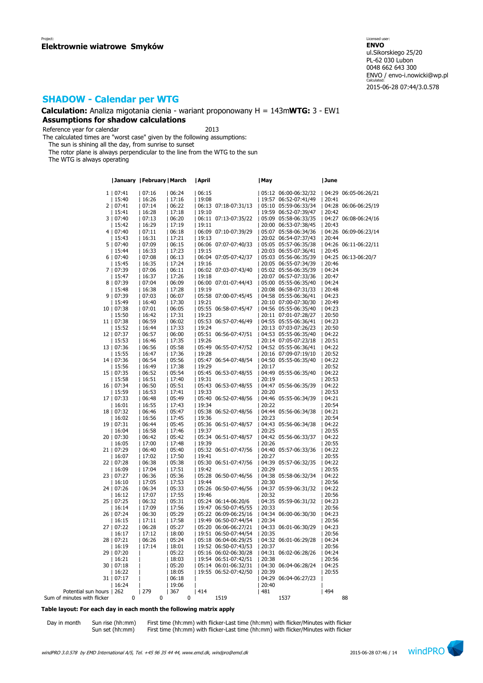**Calculation:** Analiza migotania cienia - wariant proponowany H = 143m**WTG:** 3 - EW1 **Assumptions for shadow calculations**

Reference year for calendar 2013

The calculated times are "worst case" given by the following assumptions:

The sun is shining all the day, from sunrise to sunset

The rotor plane is always perpendicular to the line from the WTG to the sun

The WTG is always operating

|                           |            | January   February   March |             | April |                      | May   |                      | June  |                      |
|---------------------------|------------|----------------------------|-------------|-------|----------------------|-------|----------------------|-------|----------------------|
|                           | 1   07:41  | 07:16                      | 06:24       | 06:15 |                      |       | 05:12 06:00-06:32/32 |       | 04:29 06:05-06:26/21 |
|                           | 15:40      | 16:26                      | 17:16       | 19:08 |                      |       | 19:57 06:52-07:41/49 | 20:41 |                      |
|                           | 2   07:41  | 07:14                      | 06:22       |       | 06:13 07:18-07:31/13 |       | 05:10 05:59-06:33/34 |       | 04:28 06:06-06:25/19 |
|                           |            |                            |             | 19:10 |                      |       |                      | 20:42 |                      |
|                           | 15:41      | 16:28                      | 17:18       |       |                      |       | 19:59 06:52-07:39/47 |       |                      |
|                           | 3   07:40  | 07:13                      | 06:20       |       | 06:11 07:13-07:35/22 |       | 05:09 05:58-06:33/35 |       | 04:27 06:08-06:24/16 |
|                           | 15:42      | 16:29                      | 17:19       | 19:11 |                      |       | 20:00 06:53-07:38/45 | 20:43 |                      |
|                           | 4   07:40  | 07:11                      | 06:18       |       | 06:09 07:10-07:39/29 |       | 05:07 05:58-06:34/36 |       | 04:26 06:09-06:23/14 |
|                           | 15:43      | 16:31                      | 17:21       | 19:13 |                      |       | 20:02 06:54-07:37/43 | 20:44 |                      |
|                           | 5   07:40  | 07:09                      | 06:15       |       | 06:06 07:07-07:40/33 |       | 05:05 05:57-06:35/38 |       | 04:26 06:11-06:22/11 |
|                           | 15:44      | 16:33                      | 17:23       | 19:15 |                      |       | 20:03 06:55-07:36/41 | 20:45 |                      |
|                           | 6   07:40  | 07:08                      | 06:13       |       | 06:04 07:05-07:42/37 |       | 05:03 05:56-06:35/39 |       | 04:25 06:13-06:20/7  |
|                           | 15:45      | 16:35                      | 17:24       | 19:16 |                      |       | 20:05 06:55-07:34/39 | 20:46 |                      |
|                           | 7   07:39  | 07:06                      | 06:11       |       | 06:02 07:03-07:43/40 |       | 05:02 05:56-06:35/39 | 04:24 |                      |
|                           | 15:47      | 16:37                      | 17:26       | 19:18 |                      |       | 20:07 06:57-07:33/36 | 20:47 |                      |
|                           | 8   07:39  | 07:04                      | 06:09       |       | 06:00 07:01-07:44/43 |       | 05:00 05:55-06:35/40 | 04:24 |                      |
|                           | 15:48      | 16:38                      | 17:28       | 19:19 |                      |       | 20:08 06:58-07:31/33 | 20:48 |                      |
|                           | 9   07:39  | 07:03                      | 06:07       |       | 05:58 07:00-07:45/45 |       | 04:58 05:55-06:36/41 | 04:23 |                      |
|                           | 15:49      | 16:40                      | 17:30       | 19:21 |                      |       | 20:10 07:00-07:30/30 | 20:49 |                      |
|                           |            |                            |             |       |                      |       |                      |       |                      |
|                           | 10   07:38 | 07:01                      | 06:05       |       | 05:55 06:58-07:45/47 |       | 04:56 05:55-06:35/40 | 04:23 |                      |
|                           | 15:50      | 16:42                      | 17:31       | 19:23 |                      |       | 20:11 07:01-07:28/27 | 20:50 |                      |
|                           | 11   07:38 | 06:59                      | 06:02       |       | 05:53 06:57-07:46/49 |       | 04:55 05:55-06:36/41 | 04:23 |                      |
|                           | 15:52      | 16:44                      | 17:33       | 19:24 |                      |       | 20:13 07:03-07:26/23 | 20:50 |                      |
|                           | 12   07:37 | 06:57                      | 06:00       |       | 05:51 06:56-07:47/51 |       | 04:53 05:55-06:35/40 | 04:22 |                      |
|                           | 15:53      | 16:46                      | 17:35       | 19:26 |                      |       | 20:14 07:05-07:23/18 | 20:51 |                      |
|                           | 13   07:36 | 06:56                      | 05:58       |       | 05:49 06:55-07:47/52 |       | 04:52 05:55-06:36/41 | 04:22 |                      |
|                           | 15:55      | 16:47                      | 17:36       | 19:28 |                      |       | 20:16 07:09-07:19/10 | 20:52 |                      |
|                           | 14   07:36 | 06:54                      | 05:56       |       | 05:47 06:54-07:48/54 |       | 04:50 05:55-06:35/40 | 04:22 |                      |
|                           | 15:56      | 16:49                      | 17:38       | 19:29 |                      | 20:17 |                      | 20:52 |                      |
|                           | 15   07:35 | 06:52                      | 05:54       |       | 05:45 06:53-07:48/55 |       | 04:49 05:55-06:35/40 | 04:22 |                      |
|                           | 15:58      | 16:51                      | 17:40       | 19:31 |                      | 20:19 |                      | 20:53 |                      |
|                           | 16   07:34 | 06:50                      | 05:51       | 05:43 | 06:53-07:48/55       |       | 04:47 05:56-06:35/39 | 04:22 |                      |
|                           | 15:59      | 16:53                      | 17:41       | 19:33 |                      | 20:20 |                      | 20:53 |                      |
|                           |            |                            |             |       | 05:40 06:52-07:48/56 |       | 04:46 05:55-06:34/39 |       |                      |
|                           | 17   07:33 | 06:48                      | 05:49       |       |                      |       |                      | 04:21 |                      |
|                           | 16:01      | 16:55                      | 17:43       | 19:34 |                      | 20:22 |                      | 20:54 |                      |
|                           | 18   07:32 | 06:46                      | 05:47       |       | 05:38 06:52-07:48/56 |       | 04:44 05:56-06:34/38 | 04:21 |                      |
|                           | 16:02      | 16:56                      | 17:45       | 19:36 |                      | 20:23 |                      | 20:54 |                      |
|                           | 19   07:31 | 06:44                      | 05:45       |       | 05:36 06:51-07:48/57 |       | 04:43 05:56-06:34/38 | 04:22 |                      |
|                           | 16:04      | 16:58                      | 17:46       | 19:37 |                      | 20:25 |                      | 20:55 |                      |
|                           | 20   07:30 | 06:42                      | 05:42       |       | 05:34 06:51-07:48/57 |       | 04:42 05:56-06:33/37 | 04:22 |                      |
|                           | 16:05      | 17:00                      | 17:48       | 19:39 |                      | 20:26 |                      | 20:55 |                      |
|                           | 21   07:29 | 06:40                      | 05:40       |       | 05:32 06:51-07:47/56 |       | 04:40 05:57-06:33/36 | 04:22 |                      |
|                           | 16:07      | 17:02                      | 17:50       | 19:41 |                      | 20:27 |                      | 20:55 |                      |
|                           | 22   07:28 | 06:38                      | 05:38       |       | 05:30 06:51-07:47/56 |       | 04:39 05:57-06:32/35 | 04:22 |                      |
|                           | 16:09      | 17:04                      | 17:51       | 19:42 |                      | 20:29 |                      | 20:55 |                      |
|                           | 23   07:27 | 06:36                      | 05:36       |       | 05:28 06:50-07:46/56 |       | 04:38 05:58-06:32/34 | 04:22 |                      |
|                           | 16:10      | 17:05                      | 17:53       | 19:44 |                      | 20:30 |                      | 20:56 |                      |
|                           | 24   07:26 | 06:34                      | 05:33       |       | 05:26 06:50-07:46/56 |       | 04:37 05:59-06:31/32 | 04:22 |                      |
|                           | 16:12      | 17:07                      | 17:55       | 19:46 |                      | 20:32 |                      | 20:56 |                      |
|                           | 25   07:25 | 06:32                      | 05:31       |       | 05:24 06:14-06:20/6  |       | 04:35 05:59-06:31/32 | 04:23 |                      |
|                           | 16:14      | 17:09                      | 17:56       |       | 19:47 06:50-07:45/55 | 20:33 |                      | 20:56 |                      |
|                           |            | 06:30                      | 05:29       |       | 05:22 06:09-06:25/16 |       | 04:34 06:00-06:30/30 |       |                      |
|                           | 26   07:24 |                            |             |       |                      | 20:34 |                      | 04:23 |                      |
|                           | 16:15      | 17:11                      | 17:58       |       | 19:49 06:50-07:44/54 |       |                      | 20:56 |                      |
|                           | 27   07:22 | 06:28                      | 05:27       |       | 05:20 06:06-06:27/21 |       | 04:33 06:01-06:30/29 | 04:23 |                      |
|                           | 16:17      | 17:12                      | 18:00       |       | 19:51 06:50-07:44/54 | 20:35 |                      | 20:56 |                      |
|                           | 28   07:21 | 06:26                      | 05:24       |       | 05:18 06:04-06:29/25 |       | 04:32 06:01-06:29/28 | 04:24 |                      |
|                           | 16:19      | 17:14                      | 18:01       |       | 19:52 06:50-07:43/53 | 20:37 |                      | 20:56 |                      |
|                           | 29   07:20 |                            | 05:22       |       | 05:16 06:02-06:30/28 |       | 04:31 06:02-06:28/26 | 04:24 |                      |
|                           | 16:21      |                            | 18:03       |       | 19:54 06:51-07:42/51 | 20:38 |                      | 20:56 |                      |
|                           | 30   07:18 |                            | 05:20       |       | 05:14 06:01-06:32/31 |       | 04:30 06:04-06:28/24 | 04:25 |                      |
|                           | 16:22      |                            | 18:05       |       | 19:55 06:52-07:42/50 | 20:39 |                      | 20:55 |                      |
|                           | 31   07:17 |                            | 06:18       |       |                      |       | 04:29 06:04-06:27/23 |       |                      |
|                           | 16:24      |                            | 19:06       |       |                      | 20:40 |                      |       |                      |
| Potential sun hours   262 |            | 279                        | 367         | 414   |                      | 481   |                      | 494   |                      |
| minutes with flicker      | 0          | 0                          | $\mathbf 0$ |       | 1519                 |       | 1537                 |       | 88                   |
|                           |            |                            |             |       |                      |       |                      |       |                      |

**Table layout: For each day in each month the following matrix apply**

Sum of minutes with

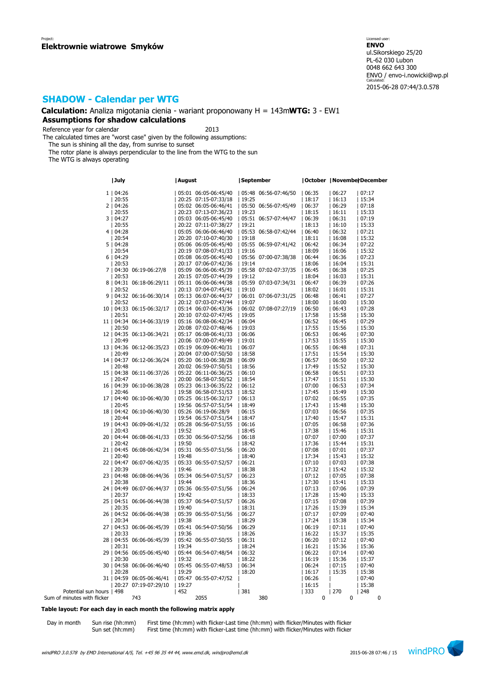**Calculation:** Analiza migotania cienia - wariant proponowany H = 143m**WTG:** 3 - EW1 **Assumptions for shadow calculations**

Reference year for calendar 2013

The calculated times are "worst case" given by the following assumptions:

The sun is shining all the day, from sunrise to sunset

The rotor plane is always perpendicular to the line from the WTG to the sun

The WTG is always operating

|                             | July                         | August               | September            |       | October  Novembe  December |       |
|-----------------------------|------------------------------|----------------------|----------------------|-------|----------------------------|-------|
|                             | 1   04:26                    | 05:01 06:05-06:45/40 | 05:48 06:56-07:46/50 | 06:35 | 06:27                      | 07:17 |
|                             | 20:55                        | 20:25 07:15-07:33/18 | 19:25                | 18:17 | 16:13                      | 15:34 |
|                             | 2   04:26                    |                      |                      | 06:37 | 06:29                      | 07:18 |
|                             |                              | 05:02 06:05-06:46/41 | 05:50 06:56-07:45/49 |       |                            |       |
|                             | 20:55                        | 20:23 07:13-07:36/23 | 19:23                | 18:15 | 16:11                      | 15:33 |
|                             | 3   04:27                    | 05:03 06:05-06:45/40 | 05:51 06:57-07:44/47 | 06:39 | 06:31                      | 07:19 |
|                             | 20:55                        | 20:22 07:11-07:38/27 | 19:21                | 18:13 | 16:10                      | 15:33 |
|                             | 4   04:28                    | 05:05 06:06-06:46/40 | 05:53 06:58-07:42/44 | 06:40 | 06:32                      | 07:21 |
|                             | 20:54                        | 20:20 07:10-07:40/30 | 19:18                | 18:11 | 16:08                      | 15:32 |
|                             | 5   04:28                    | 05:06 06:05-06:45/40 | 05:55 06:59-07:41/42 | 06:42 | 06:34                      | 07:22 |
|                             | 20:54                        | 20:19 07:08-07:41/33 | 119:16               | 18:09 | 16:06                      | 15:32 |
|                             | 6   04:29                    | 05:08 06:05-06:45/40 | 05:56 07:00-07:38/38 | 06:44 | 06:36                      | 07:23 |
|                             | 20:53                        | 20:17 07:06-07:42/36 | 19:14                | 18:06 | 16:04                      | 15:31 |
|                             | 7   04:30 06:19-06:27/8      | 05:09 06:06-06:45/39 | 05:58 07:02-07:37/35 | 06:45 | 06:38                      | 07:25 |
|                             | 20:53                        | 20:15 07:05-07:44/39 | 19:12                | 18:04 | 16:03                      | 15:31 |
|                             | 8   04:31 06:18-06:29/11     | 05:11 06:06-06:44/38 | 05:59 07:03-07:34/31 | 06:47 | 06:39                      | 07:26 |
|                             | 20:52                        | 20:13 07:04-07:45/41 | 19:10                | 18:02 | 16:01                      | 15:31 |
|                             | 9   04:32 06:16-06:30/14     | 05:13 06:07-06:44/37 | 06:01 07:06-07:31/25 | 06:48 | 06:41                      | 07:27 |
|                             | 20:52                        | 20:12 07:03-07:47/44 | 19:07                | 18:00 | 16:00                      | 15:30 |
|                             | 10   04:33 06:15-06:32/17    | 05:14 06:07-06:43/36 | 06:02 07:08-07:27/19 | 06:50 | 06:43                      | 07:28 |
|                             | 20:51                        | 20:10 07:02-07:47/45 | 19:05                | 17:58 | 15:58                      | 15:30 |
|                             | 11   04:34 06:14-06:33/19    | 05:16 06:08-06:42/34 | 06:04                | 06:52 | 06:45                      | 07:29 |
|                             | 20:50                        | 20:08 07:02-07:48/46 | 19:03                | 17:55 | 15:56                      | 15:30 |
|                             | 12   04:35 06:13-06:34/21    | 05:17 06:08-06:41/33 | 06:06                | 06:53 | 06:46                      | 07:30 |
|                             | 20:49                        | 20:06 07:00-07:49/49 | 19:01                | 17:53 | 15:55                      | 15:30 |
|                             | 13   04:36 06:12-06:35/23    | 05:19 06:09-06:40/31 | 06:07                | 06:55 | 06:48                      | 07:31 |
|                             | 20:49                        | 20:04 07:00-07:50/50 | 18:58                | 17:51 | 15:54                      | 15:30 |
|                             | 14   04:37 06:12-06:36/24    | 05:20 06:10-06:38/28 | 06:09                | 06:57 | 06:50                      | 07:32 |
|                             | 20:48                        | 20:02 06:59-07:50/51 | 18:56                | 17:49 | 15:52                      | 15:30 |
|                             | 15   04:38 06:11-06:37/26    | 05:22 06:11-06:36/25 | 06:10                | 06:58 | 06:51                      | 07:33 |
|                             | 20:47                        | 20:00 06:58-07:50/52 | 18:54                | 17:47 | 15:51                      | 15:30 |
|                             | 16   04:39 06:10-06:38/28    | 05:23 06:13-06:35/22 | 06:12                | 07:00 | 06:53                      | 07:34 |
|                             | 20:46                        | 19:58 06:58-07:51/53 | 18:52                | 17:45 | 15:49                      | 15:30 |
|                             | 17   04:40 06:10-06:40/30    | 05:25 06:15-06:32/17 | 06:13                | 07:02 | 06:55                      | 07:35 |
|                             | 20:45                        | 19:56 06:57-07:51/54 | 18:49                | 17:43 | 15:48                      | 15:30 |
|                             | 18   04:42 06:10-06:40/30    | 05:26 06:19-06:28/9  | 06:15                | 07:03 | 06:56                      | 07:35 |
|                             | 20:44                        | 19:54 06:57-07:51/54 | 18:47                | 17:40 | 15:47                      | 15:31 |
|                             | 19   04:43 06:09-06:41/32    | 05:28 06:56-07:51/55 | 06:16                | 07:05 | 06:58                      | 07:36 |
|                             | 20:43                        | 19:52                | 18:45                | 17:38 | 15:46                      | 15:31 |
|                             | 20   04:44 06:08-06:41/33    | 05:30 06:56-07:52/56 | 06:18                | 07:07 | 07:00                      | 07:37 |
|                             | 20:42                        | 19:50                | 18:42                | 17:36 | 15:44                      | 15:31 |
|                             | 21   04:45 06:08-06:42/34    | 05:31 06:55-07:51/56 | 06:20                | 07:08 | 07:01                      | 07:37 |
|                             | 20:40                        | 19:48                | 18:40                | 17:34 | 15:43                      | 15:32 |
|                             | 22   04:47 06:07-06:42/35    | 05:33 06:55-07:52/57 | 06:21                | 07:10 | 07:03                      | 07:38 |
|                             | 20:39                        | 19:46                | 18:38                | 17:32 | 15:42                      | 15:32 |
|                             | 23   04:48 06:08-06:44/36    | 05:34 06:54-07:51/57 | 06:23                | 07:12 | 07:05                      | 07:38 |
|                             | 20:38                        | 19:44                | 18:36                | 17:30 | 15:41                      | 15:33 |
|                             | 24   04:49 06:07-06:44/37    | 05:36 06:55-07:51/56 | 06:24                | 07:13 | 07:06                      | 07:39 |
|                             | 20:37                        | 19:42                | 18:33                | 17:28 | 15:40                      | 15:33 |
|                             | 25   04:51 06:06-06:44/38    | 05:37 06:54-07:51/57 | 06:26                | 07:15 | 07:08                      | 07:39 |
|                             | 20:35                        | 19:40                | 18:31                | 17:26 | 15:39                      | 15:34 |
|                             | 26   04:52 06:06-06:44/38    | 05:39 06:55-07:51/56 | 06:27                | 07:17 | 07:09                      | 07:40 |
|                             | 20:34                        | 19:38                | 18:29                | 17:24 | 15:38                      | 15:34 |
|                             | 27   04:53 06:06-06:45/39    | 05:41 06:54-07:50/56 | 06:29                | 06:19 | 07:11                      | 07:40 |
|                             | 20:33                        | 19:36                | 18:26                | 16:22 | 15:37                      | 15:35 |
|                             | 28   04:55<br>06:06-06:45/39 | 05:42 06:55-07:50/55 | 06:31                | 06:20 | 07:12                      | 07:40 |
|                             | 20:31                        | 19:34                | 18:24                | 16:21 | 15:36                      | 15:36 |
|                             | 29   04:56 06:05-06:45/40    | 05:44 06:54-07:48/54 | 06:32                | 06:22 | 07:14                      | 07:40 |
|                             | 20:30                        | 19:32                | 18:22                | 16:19 | 15:36                      | 15:37 |
|                             | 30   04:58 06:06-06:46/40    | 05:45 06:55-07:48/53 | 06:34                | 06:24 | 07:15                      | 07:40 |
|                             | 20:28                        | 19:29                | 18:20                | 16:17 | 15:35                      | 15:38 |
|                             | 31   04:59 06:05-06:46/41    | 05:47 06:55-07:47/52 |                      | 06:26 |                            | 07:40 |
|                             | 20:27 07:19-07:29/10         | 19:27                |                      | 16:15 |                            | 15:38 |
| Potential sun hours   498   |                              | 452                  | 381                  | 333   | 270                        | 248   |
| Sum of minutes with flicker | 743                          | 2055                 | 380                  | 0     | 0                          | 0     |
|                             |                              |                      |                      |       |                            |       |

### **Table layout: For each day in each month the following matrix apply**